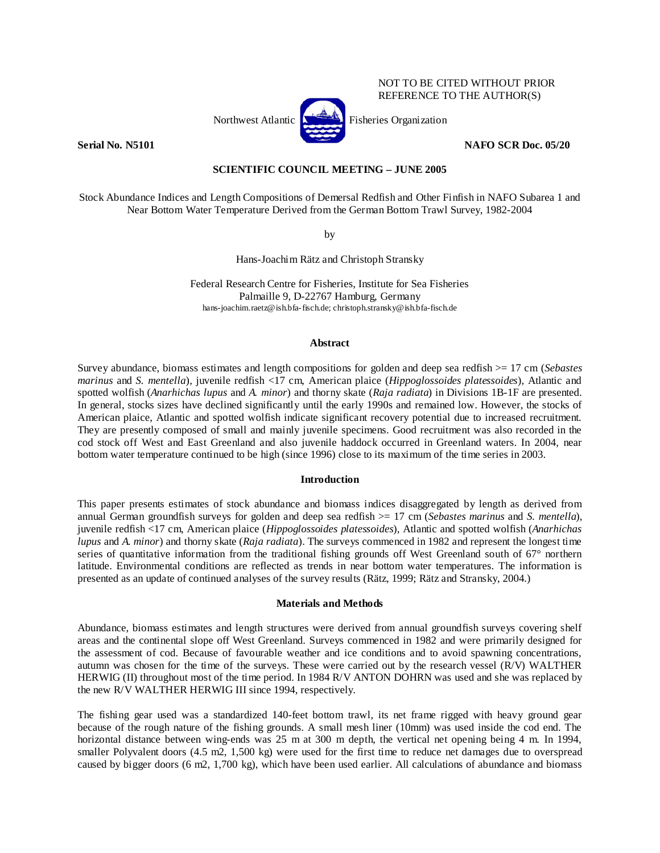

NOT TO BE CITED WITHOUT PRIOR REFERENCE TO THE AUTHOR(S)

**Serial No. N5101 NAFO SCR Doc. 05/20 NAFO SCR Doc. 05/20** 

# **SCIENTIFIC COUNCIL MEETING – JUNE 2005**

Stock Abundance Indices and Length Compositions of Demersal Redfish and Other Finfish in NAFO Subarea 1 and Near Bottom Water Temperature Derived from the German Bottom Trawl Survey, 1982-2004

by

Hans-Joachim Rätz and Christoph Stransky

Federal Research Centre for Fisheries, Institute for Sea Fisheries Palmaille 9, D-22767 Hamburg, Germany hans-joachim.raetz@ish.bfa-fisch.de; christoph.stransky@ish.bfa-fisch.de

### **Abstract**

Survey abundance, biomass estimates and length compositions for golden and deep sea redfish >= 17 cm (*Sebastes marinus* and *S. mentella*), juvenile redfish <17 cm, American plaice (*Hippoglossoides platessoides*), Atlantic and spotted wolfish (*Anarhichas lupus* and *A. minor*) and thorny skate (*Raja radiata*) in Divisions 1B-1F are presented. In general, stocks sizes have declined significantly until the early 1990s and remained low. However, the stocks of American plaice, Atlantic and spotted wolfish indicate significant recovery potential due to increased recruitment. They are presently composed of small and mainly juvenile specimens. Good recruitment was also recorded in the cod stock off West and East Greenland and also juvenile haddock occurred in Greenland waters. In 2004, near bottom water temperature continued to be high (since 1996) close to its maximum of the time series in 2003.

## **Introduction**

This paper presents estimates of stock abundance and biomass indices disaggregated by length as derived from annual German groundfish surveys for golden and deep sea redfish >= 17 cm (*Sebastes marinus* and *S. mentella*), juvenile redfish <17 cm, American plaice (*Hippoglossoides platessoides*), Atlantic and spotted wolfish (*Anarhichas lupus* and *A. minor*) and thorny skate (*Raja radiata*). The surveys commenced in 1982 and represent the longest time series of quantitative information from the traditional fishing grounds off West Greenland south of 67° northern latitude. Environmental conditions are reflected as trends in near bottom water temperatures. The information is presented as an update of continued analyses of the survey results (Rätz, 1999; Rätz and Stransky, 2004.)

## **Materials and Methods**

Abundance, biomass estimates and length structures were derived from annual groundfish surveys covering shelf areas and the continental slope off West Greenland. Surveys commenced in 1982 and were primarily designed for the assessment of cod. Because of favourable weather and ice conditions and to avoid spawning concentrations, autumn was chosen for the time of the surveys. These were carried out by the research vessel (R/V) WALTHER HERWIG (II) throughout most of the time period. In 1984 R/V ANTON DOHRN was used and she was replaced by the new R/V WALTHER HERWIG III since 1994, respectively.

The fishing gear used was a standardized 140-feet bottom trawl, its net frame rigged with heavy ground gear because of the rough nature of the fishing grounds. A small mesh liner (10mm) was used inside the cod end. The horizontal distance between wing-ends was 25 m at 300 m depth, the vertical net opening being 4 m. In 1994, smaller Polyvalent doors (4.5 m2, 1,500 kg) were used for the first time to reduce net damages due to overspread caused by bigger doors (6 m2, 1,700 kg), which have been used earlier. All calculations of abundance and biomass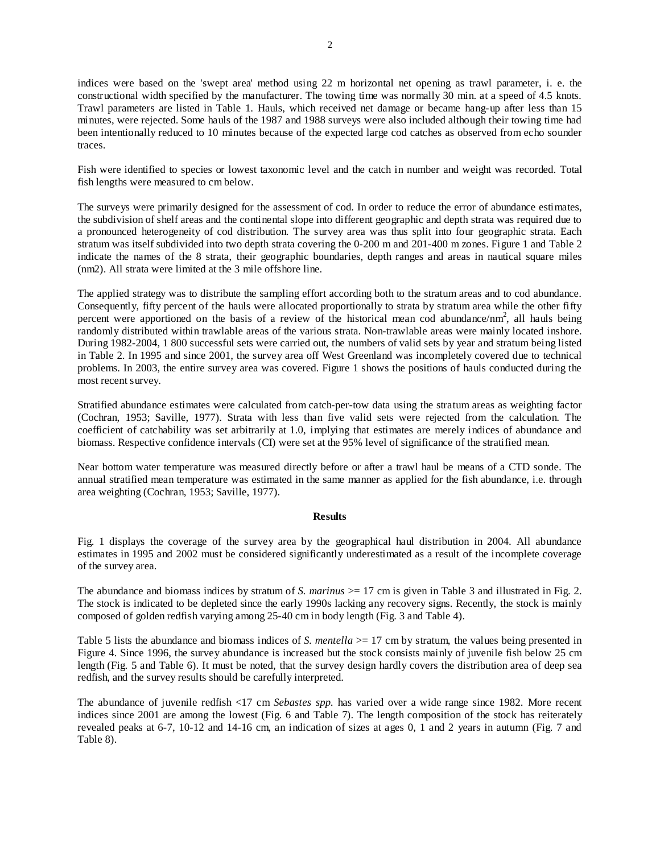indices were based on the 'swept area' method using 22 m horizontal net opening as trawl parameter, i. e. the constructional width specified by the manufacturer. The towing time was normally 30 min. at a speed of 4.5 knots. Trawl parameters are listed in Table 1. Hauls, which received net damage or became hang-up after less than 15 minutes, were rejected. Some hauls of the 1987 and 1988 surveys were also included although their towing time had been intentionally reduced to 10 minutes because of the expected large cod catches as observed from echo sounder traces.

Fish were identified to species or lowest taxonomic level and the catch in number and weight was recorded. Total fish lengths were measured to cm below.

The surveys were primarily designed for the assessment of cod. In order to reduce the error of abundance estimates, the subdivision of shelf areas and the continental slope into different geographic and depth strata was required due to a pronounced heterogeneity of cod distribution. The survey area was thus split into four geographic strata. Each stratum was itself subdivided into two depth strata covering the 0-200 m and 201-400 m zones. Figure 1 and Table 2 indicate the names of the 8 strata, their geographic boundaries, depth ranges and areas in nautical square miles (nm2). All strata were limited at the 3 mile offshore line.

The applied strategy was to distribute the sampling effort according both to the stratum areas and to cod abundance. Consequently, fifty percent of the hauls were allocated proportionally to strata by stratum area while the other fifty percent were apportioned on the basis of a review of the historical mean cod abundance/nm<sup>2</sup>, all hauls being randomly distributed within trawlable areas of the various strata. Non-trawlable areas were mainly located inshore. During 1982-2004, 1 800 successful sets were carried out, the numbers of valid sets by year and stratum being listed in Table 2. In 1995 and since 2001, the survey area off West Greenland was incompletely covered due to technical problems. In 2003, the entire survey area was covered. Figure 1 shows the positions of hauls conducted during the most recent survey.

Stratified abundance estimates were calculated from catch-per-tow data using the stratum areas as weighting factor (Cochran, 1953; Saville, 1977). Strata with less than five valid sets were rejected from the calculation. The coefficient of catchability was set arbitrarily at 1.0, implying that estimates are merely indices of abundance and biomass. Respective confidence intervals (CI) were set at the 95% level of significance of the stratified mean.

Near bottom water temperature was measured directly before or after a trawl haul be means of a CTD sonde. The annual stratified mean temperature was estimated in the same manner as applied for the fish abundance, i.e. through area weighting (Cochran, 1953; Saville, 1977).

### **Results**

Fig. 1 displays the coverage of the survey area by the geographical haul distribution in 2004. All abundance estimates in 1995 and 2002 must be considered significantly underestimated as a result of the incomplete coverage of the survey area.

The abundance and biomass indices by stratum of *S. marinus*  $> = 17$  cm is given in Table 3 and illustrated in Fig. 2. The stock is indicated to be depleted since the early 1990s lacking any recovery signs. Recently, the stock is mainly composed of golden redfish varying among 25-40 cm in body length (Fig. 3 and Table 4).

Table 5 lists the abundance and biomass indices of *S. mentella* > 17 cm by stratum, the values being presented in Figure 4. Since 1996, the survey abundance is increased but the stock consists mainly of juvenile fish below 25 cm length (Fig. 5 and Table 6). It must be noted, that the survey design hardly covers the distribution area of deep sea redfish, and the survey results should be carefully interpreted.

The abundance of juvenile redfish <17 cm *Sebastes spp.* has varied over a wide range since 1982. More recent indices since 2001 are among the lowest (Fig. 6 and Table 7). The length composition of the stock has reiterately revealed peaks at 6-7, 10-12 and 14-16 cm, an indication of sizes at ages 0, 1 and 2 years in autumn (Fig. 7 and Table 8).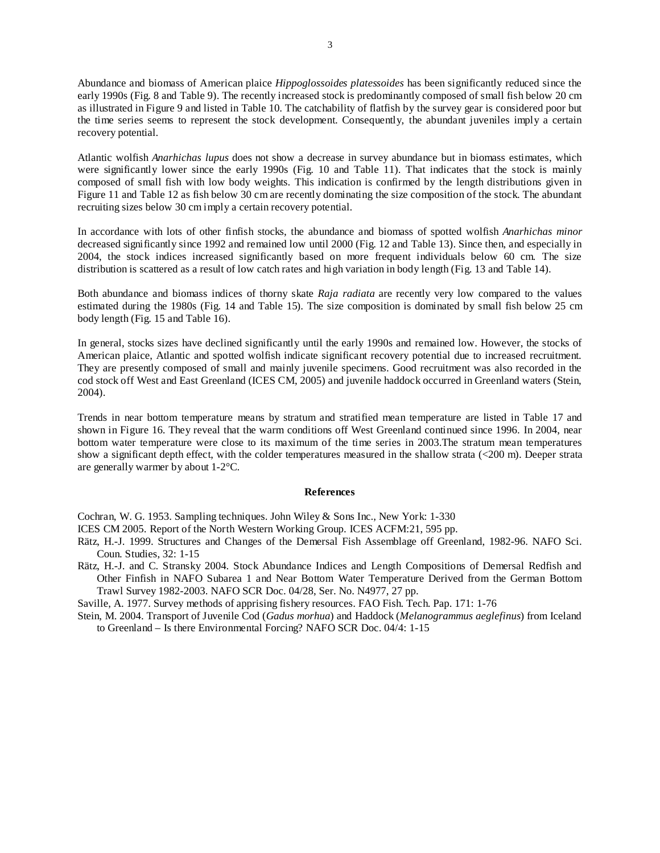Abundance and biomass of American plaice *Hippoglossoides platessoides* has been significantly reduced since the early 1990s (Fig. 8 and Table 9). The recently increased stock is predominantly composed of small fish below 20 cm as illustrated in Figure 9 and listed in Table 10. The catchability of flatfish by the survey gear is considered poor but the time series seems to represent the stock development. Consequently, the abundant juveniles imply a certain recovery potential.

Atlantic wolfish *Anarhichas lupus* does not show a decrease in survey abundance but in biomass estimates, which were significantly lower since the early 1990s (Fig. 10 and Table 11). That indicates that the stock is mainly composed of small fish with low body weights. This indication is confirmed by the length distributions given in Figure 11 and Table 12 as fish below 30 cm are recently dominating the size composition of the stock. The abundant recruiting sizes below 30 cm imply a certain recovery potential.

In accordance with lots of other finfish stocks, the abundance and biomass of spotted wolfish *Anarhichas minor* decreased significantly since 1992 and remained low until 2000 (Fig. 12 and Table 13). Since then, and especially in 2004, the stock indices increased significantly based on more frequent individuals below 60 cm. The size distribution is scattered as a result of low catch rates and high variation in body length (Fig. 13 and Table 14).

Both abundance and biomass indices of thorny skate *Raja radiata* are recently very low compared to the values estimated during the 1980s (Fig. 14 and Table 15). The size composition is dominated by small fish below 25 cm body length (Fig. 15 and Table 16).

In general, stocks sizes have declined significantly until the early 1990s and remained low. However, the stocks of American plaice, Atlantic and spotted wolfish indicate significant recovery potential due to increased recruitment. They are presently composed of small and mainly juvenile specimens. Good recruitment was also recorded in the cod stock off West and East Greenland (ICES CM, 2005) and juvenile haddock occurred in Greenland waters (Stein, 2004).

Trends in near bottom temperature means by stratum and stratified mean temperature are listed in Table 17 and shown in Figure 16. They reveal that the warm conditions off West Greenland continued since 1996. In 2004, near bottom water temperature were close to its maximum of the time series in 2003.The stratum mean temperatures show a significant depth effect, with the colder temperatures measured in the shallow strata (<200 m). Deeper strata are generally warmer by about 1-2°C.

### **References**

Cochran, W. G. 1953. Sampling techniques. John Wiley & Sons Inc., New York: 1-330

- ICES CM 2005. Report of the North Western Working Group. ICES ACFM:21, 595 pp.
- Rätz, H.-J. 1999. Structures and Changes of the Demersal Fish Assemblage off Greenland, 1982-96. NAFO Sci. Coun. Studies, 32: 1-15
- Rätz, H.-J. and C. Stransky 2004. Stock Abundance Indices and Length Compositions of Demersal Redfish and Other Finfish in NAFO Subarea 1 and Near Bottom Water Temperature Derived from the German Bottom Trawl Survey 1982-2003. NAFO SCR Doc. 04/28, Ser. No. N4977, 27 pp.

Saville, A. 1977. Survey methods of apprising fishery resources. FAO Fish. Tech. Pap. 171: 1-76

Stein, M. 2004. Transport of Juvenile Cod (*Gadus morhua*) and Haddock (*Melanogrammus aeglefinus*) from Iceland to Greenland – Is there Environmental Forcing? NAFO SCR Doc. 04/4: 1-15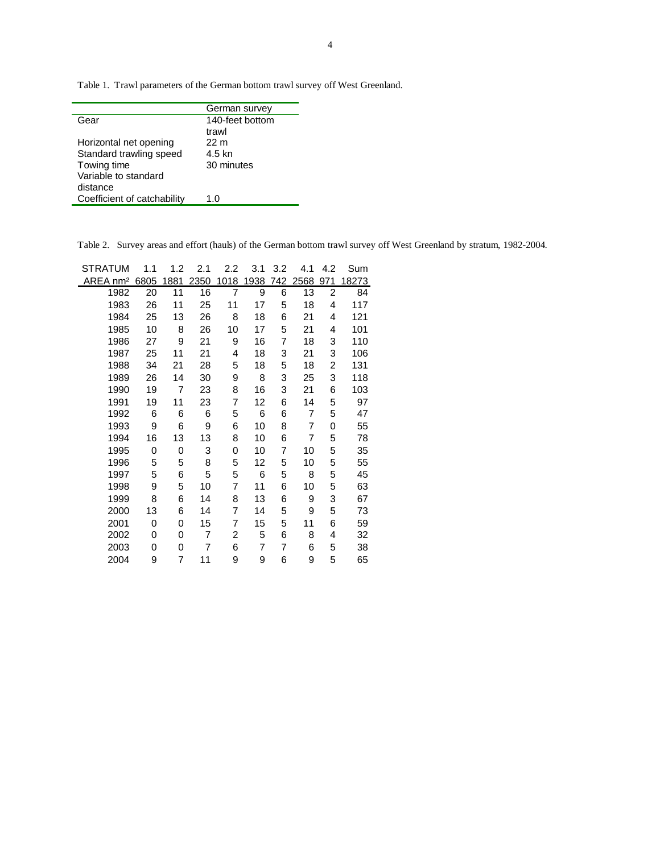Table 1. Trawl parameters of the German bottom trawl survey off West Greenland.

|                             | German survey   |
|-----------------------------|-----------------|
| Gear                        | 140-feet bottom |
|                             | trawl           |
| Horizontal net opening      | 22 m            |
| Standard trawling speed     | 4.5 kn          |
| Towing time                 | 30 minutes      |
| Variable to standard        |                 |
| distance                    |                 |
| Coefficient of catchability | 1.0             |

Table 2. Survey areas and effort (hauls) of the German bottom trawl survey off West Greenland by stratum, 1982-2004.

| <b>STRATUM</b>       | 1.1  | 1.2  | 2.1  | 2.2            | 3.1  | 3.2 | 4.1  | 4.2 | Sum   |
|----------------------|------|------|------|----------------|------|-----|------|-----|-------|
| AREA nm <sup>2</sup> | 6805 | 1881 | 2350 | 1018           | 1938 | 742 | 2568 | 971 | 18273 |
| 1982                 | 20   | 11   | 16   | $\overline{7}$ | 9    | 6   | 13   | 2   | 84    |
| 1983                 | 26   | 11   | 25   | 11             | 17   | 5   | 18   | 4   | 117   |
| 1984                 | 25   | 13   | 26   | 8              | 18   | 6   | 21   | 4   | 121   |
| 1985                 | 10   | 8    | 26   | 10             | 17   | 5   | 21   | 4   | 101   |
| 1986                 | 27   | 9    | 21   | 9              | 16   | 7   | 18   | 3   | 110   |
| 1987                 | 25   | 11   | 21   | 4              | 18   | 3   | 21   | 3   | 106   |
| 1988                 | 34   | 21   | 28   | 5              | 18   | 5   | 18   | 2   | 131   |
| 1989                 | 26   | 14   | 30   | 9              | 8    | 3   | 25   | 3   | 118   |
| 1990                 | 19   | 7    | 23   | 8              | 16   | 3   | 21   | 6   | 103   |
| 1991                 | 19   | 11   | 23   | 7              | 12   | 6   | 14   | 5   | 97    |
| 1992                 | 6    | 6    | 6    | 5              | 6    | 6   | 7    | 5   | 47    |
| 1993                 | 9    | 6    | 9    | 6              | 10   | 8   | 7    | 0   | 55    |
| 1994                 | 16   | 13   | 13   | 8              | 10   | 6   | 7    | 5   | 78    |
| 1995                 | 0    | 0    | 3    | 0              | 10   | 7   | 10   | 5   | 35    |
| 1996                 | 5    | 5    | 8    | 5              | 12   | 5   | 10   | 5   | 55    |
| 1997                 | 5    | 6    | 5    | 5              | 6    | 5   | 8    | 5   | 45    |
| 1998                 | 9    | 5    | 10   | 7              | 11   | 6   | 10   | 5   | 63    |
| 1999                 | 8    | 6    | 14   | 8              | 13   | 6   | 9    | 3   | 67    |
| 2000                 | 13   | 6    | 14   | 7              | 14   | 5   | 9    | 5   | 73    |
| 2001                 | 0    | 0    | 15   | 7              | 15   | 5   | 11   | 6   | 59    |
| 2002                 | 0    | 0    | 7    | 2              | 5    | 6   | 8    | 4   | 32    |
| 2003                 | 0    | 0    | 7    | 6              | 7    | 7   | 6    | 5   | 38    |
| 2004                 | 9    | 7    | 11   | 9              | 9    | 6   | 9    | 5   | 65    |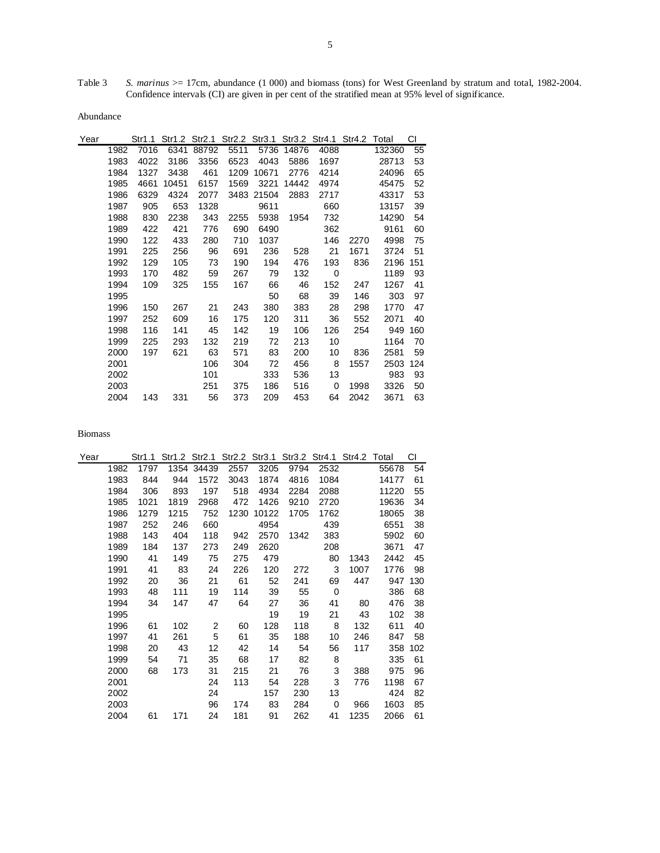Table 3 *S. marinus* > 17cm, abundance (1 000) and biomass (tons) for West Greenland by stratum and total, 1982-2004. Confidence intervals (CI) are given in per cent of the stratified mean at 95% level of significance.

Abundance

| Year |      | Str1.1 |       | Str1.2 Str2.1 |      | Str2.2 Str3.1 |       |      | Str3.2 Str4.1 Str4.2 Total |        | СI  |
|------|------|--------|-------|---------------|------|---------------|-------|------|----------------------------|--------|-----|
|      | 1982 | 7016   | 6341  | 88792         | 5511 | 5736          | 14876 | 4088 |                            | 132360 | 55  |
|      | 1983 | 4022   | 3186  | 3356          | 6523 | 4043          | 5886  | 1697 |                            | 28713  | 53  |
|      | 1984 | 1327   | 3438  | 461           | 1209 | 10671         | 2776  | 4214 |                            | 24096  | 65  |
|      | 1985 | 4661   | 10451 | 6157          | 1569 | 3221          | 14442 | 4974 |                            | 45475  | 52  |
|      | 1986 | 6329   | 4324  | 2077          |      | 3483 21504    | 2883  | 2717 |                            | 43317  | 53  |
|      | 1987 | 905    | 653   | 1328          |      | 9611          |       | 660  |                            | 13157  | 39  |
|      | 1988 | 830    | 2238  | 343           | 2255 | 5938          | 1954  | 732  |                            | 14290  | 54  |
|      | 1989 | 422    | 421   | 776           | 690  | 6490          |       | 362  |                            | 9161   | 60  |
|      | 1990 | 122    | 433   | 280           | 710  | 1037          |       | 146  | 2270                       | 4998   | 75  |
|      | 1991 | 225    | 256   | 96            | 691  | 236           | 528   | 21   | 1671                       | 3724   | 51  |
|      | 1992 | 129    | 105   | 73            | 190  | 194           | 476   | 193  | 836                        | 2196   | 151 |
|      | 1993 | 170    | 482   | 59            | 267  | 79            | 132   | 0    |                            | 1189   | 93  |
|      | 1994 | 109    | 325   | 155           | 167  | 66            | 46    | 152  | 247                        | 1267   | 41  |
|      | 1995 |        |       |               |      | 50            | 68    | 39   | 146                        | 303    | 97  |
|      | 1996 | 150    | 267   | 21            | 243  | 380           | 383   | 28   | 298                        | 1770   | 47  |
|      | 1997 | 252    | 609   | 16            | 175  | 120           | 311   | 36   | 552                        | 2071   | 40  |
|      | 1998 | 116    | 141   | 45            | 142  | 19            | 106   | 126  | 254                        | 949    | 160 |
|      | 1999 | 225    | 293   | 132           | 219  | 72            | 213   | 10   |                            | 1164   | 70  |
|      | 2000 | 197    | 621   | 63            | 571  | 83            | 200   | 10   | 836                        | 2581   | 59  |
|      | 2001 |        |       | 106           | 304  | 72            | 456   | 8    | 1557                       | 2503   | 124 |
|      | 2002 |        |       | 101           |      | 333           | 536   | 13   |                            | 983    | 93  |
|      | 2003 |        |       | 251           | 375  | 186           | 516   | 0    | 1998                       | 3326   | 50  |
|      | 2004 | 143    | 331   | 56            | 373  | 209           | 453   | 64   | 2042                       | 3671   | 63  |

| Year |      | Str1.1 | Str1.2 Str2.1 |                |      |       | Str2.2 Str3.1 Str3.2 Str4.1 Str4.2 Total |      |      |       | СI  |
|------|------|--------|---------------|----------------|------|-------|------------------------------------------|------|------|-------|-----|
|      | 1982 | 1797   | 1354          | 34439          | 2557 | 3205  | 9794                                     | 2532 |      | 55678 | 54  |
|      | 1983 | 844    | 944           | 1572           | 3043 | 1874  | 4816                                     | 1084 |      | 14177 | 61  |
|      | 1984 | 306    | 893           | 197            | 518  | 4934  | 2284                                     | 2088 |      | 11220 | 55  |
|      | 1985 | 1021   | 1819          | 2968           | 472  | 1426  | 9210                                     | 2720 |      | 19636 | 34  |
|      | 1986 | 1279   | 1215          | 752            | 1230 | 10122 | 1705                                     | 1762 |      | 18065 | 38  |
|      | 1987 | 252    | 246           | 660            |      | 4954  |                                          | 439  |      | 6551  | 38  |
|      | 1988 | 143    | 404           | 118            | 942  | 2570  | 1342                                     | 383  |      | 5902  | 60  |
|      | 1989 | 184    | 137           | 273            | 249  | 2620  |                                          | 208  |      | 3671  | 47  |
|      | 1990 | 41     | 149           | 75             | 275  | 479   |                                          | 80   | 1343 | 2442  | 45  |
|      | 1991 | 41     | 83            | 24             | 226  | 120   | 272                                      | 3    | 1007 | 1776  | 98  |
|      | 1992 | 20     | 36            | 21             | 61   | 52    | 241                                      | 69   | 447  | 947   | 130 |
|      | 1993 | 48     | 111           | 19             | 114  | 39    | 55                                       | 0    |      | 386   | 68  |
|      | 1994 | 34     | 147           | 47             | 64   | 27    | 36                                       | 41   | 80   | 476   | 38  |
|      | 1995 |        |               |                |      | 19    | 19                                       | 21   | 43   | 102   | 38  |
|      | 1996 | 61     | 102           | $\overline{2}$ | 60   | 128   | 118                                      | 8    | 132  | 611   | 40  |
|      | 1997 | 41     | 261           | 5              | 61   | 35    | 188                                      | 10   | 246  | 847   | 58  |
|      | 1998 | 20     | 43            | 12             | 42   | 14    | 54                                       | 56   | 117  | 358   | 102 |
|      | 1999 | 54     | 71            | 35             | 68   | 17    | 82                                       | 8    |      | 335   | 61  |
|      | 2000 | 68     | 173           | 31             | 215  | 21    | 76                                       | 3    | 388  | 975   | 96  |
|      | 2001 |        |               | 24             | 113  | 54    | 228                                      | 3    | 776  | 1198  | 67  |
|      | 2002 |        |               | 24             |      | 157   | 230                                      | 13   |      | 424   | 82  |
|      | 2003 |        |               | 96             | 174  | 83    | 284                                      | 0    | 966  | 1603  | 85  |
|      | 2004 | 61     | 171           | 24             | 181  | 91    | 262                                      | 41   | 1235 | 2066  | 61  |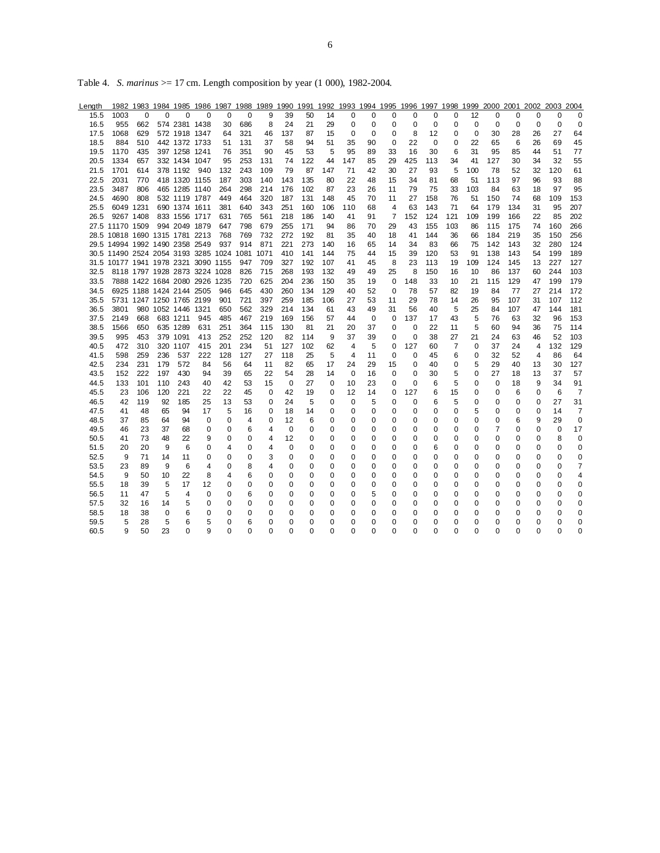|  |  | Table 4. S. marinus $>= 17$ cm. Length composition by year (1 000), 1982-2004. |
|--|--|--------------------------------------------------------------------------------|
|  |  |                                                                                |

| Length |                                          |          |     |                          |                               |          | 1982 1983 1984 1985 1986 1987 1988 1989 1990 1991 1992 1993 1994 1995 |      |          |          |          |             |             |             |             |          |                |             | 1996 1997 1998 1999 2000 2001 2002 2003 |          |          |             | 2004           |
|--------|------------------------------------------|----------|-----|--------------------------|-------------------------------|----------|-----------------------------------------------------------------------|------|----------|----------|----------|-------------|-------------|-------------|-------------|----------|----------------|-------------|-----------------------------------------|----------|----------|-------------|----------------|
| 15.5   | 1003                                     | $\Omega$ | 0   | $\Omega$                 | $\Omega$                      | $\Omega$ | $\Omega$                                                              | 9    | 39       | 50       | 14       | 0           | 0           | 0           | 0           | $\Omega$ | $\Omega$       | 12          | 0                                       | 0        | $\Omega$ | 0           | $\Omega$       |
| 16.5   | 955                                      | 662      |     | 574 2381 1438            |                               | 30       | 686                                                                   | 8    | 24       | 21       | 29       | 0           | 0           | 0           | 0           | 0        | 0              | 0           | 0                                       | 0        | 0        | 0           | $\mathbf 0$    |
| 17.5   | 1068                                     | 629      |     | 572 1918 1347            |                               | 64       | 321                                                                   | 46   | 137      | 87       | 15       | 0           | $\mathbf 0$ | 0           | 8           | 12       | 0              | 0           | 30                                      | 28       | 26       | 27          | 64             |
| 18.5   | 884                                      | 510      |     | 442 1372 1733            |                               | 51       | 131                                                                   | 37   | 58       | 94       | 51       | 35          | 90          | 0           | 22          | 0        | 0              | 22          | 65                                      | 6        | 26       | 69          | 45             |
| 19.5   | 1170                                     | 435      |     | 397 1258 1241            |                               | 76       | 351                                                                   | 90   | 45       | 53       | 5        | 95          | 89          | 33          | 16          | 30       | 6              | 31          | 95                                      | 85       | 44       | 51          | 77             |
| 20.5   | 1334                                     | 657      |     | 332 1434 1047            |                               | 95       | 253                                                                   | 131  | 74       | 122      | 44       | 147         | 85          | 29          | 425         | 113      | 34             | 41          | 127                                     | 30       | 34       | 32          | 55             |
| 21.5   | 1701                                     | 614      |     | 378 1192                 | 940                           | 132      | 243                                                                   | 109  | 79       | 87       | 147      | 71          | 42          | 30          | 27          | 93       | 5              | 100         | 78                                      | 52       | 32       | 120         | 61             |
| 22.5   | 2031                                     | 770      |     | 418 1320 1155            |                               | 187      | 303                                                                   | 140  | 143      | 135      | 80       | 22          | 48          | 15          | 34          | 81       | 68             | 51          | 113                                     | 97       | 96       | 93          | 88             |
| 23.5   | 3487                                     | 806      |     | 465 1285 1140            |                               | 264      | 298                                                                   | 214  | 176      | 102      | 87       | 23          | 26          | 11          | 79          | 75       | 33             | 103         | 84                                      | 63       | 18       | 97          | 95             |
| 24.5   | 4690                                     | 808      |     | 532 1119 1787            |                               | 449      | 464                                                                   | 320  | 187      | 131      | 148      | 45          | 70          | 11          | 27          | 158      | 76             | 51          | 150                                     | 74       | 68       | 109         | 153            |
| 25.5   | 6049 1231                                |          |     | 690 1374 1611            |                               | 381      | 640                                                                   | 343  | 251      | 160      | 106      | 110         | 68          | 4           | 63          | 143      | 71             | 64          | 179                                     | 134      | 31       | 95          | 207            |
| 26.5   | 9267 1408                                |          |     | 833 1556 1717            |                               | 631      | 765                                                                   | 561  | 218      | 186      | 140      | 41          | 91          | 7           | 152         | 124      | 121            | 109         | 199                                     | 166      | 22       | 85          | 202            |
|        | 27.5 11170 1509                          |          |     | 994 2049 1879            |                               | 647      | 798                                                                   | 679  | 255      | 171      | 94       | 86          | 70          | 29          | 43          | 155      | 103            | 86          | 115                                     | 175      | 74       | 160         | 266            |
|        | 28.5 10818 1690 1315 1781 2213           |          |     |                          |                               | 768      | 769                                                                   | 732  | 272      | 192      | 81       | 35          | 40          | 18          | 41          | 144      | 36             | 66          | 184                                     | 219      | 35       | 150         | 256            |
|        | 29.5 14994 1992 1490 2358 2549           |          |     |                          |                               | 937      | 914                                                                   | 871  | 221      | 273      | 140      | 16          | 65          | 14          | 34          | 83       | 66             | 75          | 142                                     | 143      | 32       | 280         | 124            |
|        | 30.5 11490 2524 2054 3193 3285 1024 1081 |          |     |                          |                               |          |                                                                       | 1071 | 410      | 141      | 144      | 75          | 44          | 15          | 39          | 120      | 53             | 91          | 138                                     | 143      | 54       | 199         | 189            |
|        | 31.5 10177 1941 1978 2321 3090 1155      |          |     |                          |                               |          | 947                                                                   | 709  | 327      | 192      | 107      | 41          | 45          | 8           | 23          | 113      | 19             | 109         | 124                                     | 145      | 13       | 227         | 127            |
| 32.5   |                                          |          |     |                          | 8118 1797 1928 2873 3224 1028 |          | 826                                                                   | 715  | 268      | 193      | 132      | 49          | 49          | 25          | 8           | 150      | 16             | 10          | 86                                      | 137      | 60       | 244         | 103            |
| 33.5   |                                          |          |     |                          | 7888 1422 1684 2080 2926 1235 |          | 720                                                                   | 625  | 204      | 236      | 150      | 35          | 19          | 0           | 148         | 33       | 10             | 21          | 115                                     | 129      | 47       | 199         | 179            |
| 34.5   |                                          |          |     | 6925 1188 1424 2144 2505 |                               | 946      | 645                                                                   | 430  | 260      | 134      | 129      | 40          | 52          | 0           | 78          | 57       | 82             | 19          | 84                                      | 77       | 27       | 214         | 172            |
| 35.5   |                                          |          |     | 5731 1247 1250 1765 2199 |                               | 901      | 721                                                                   | 397  | 259      | 185      | 106      | 27          | 53          | 11          | 29          | 78       | 14             | 26          | 95                                      | 107      | 31       | 107         | 112            |
| 36.5   | 3801                                     |          |     | 980 1052 1446 1321       |                               | 650      | 562                                                                   | 329  | 214      | 134      | 61       | 43          | 49          | 31          | 56          | 40       | 5              | 25          | 84                                      | 107      | 47       | 144         | 181            |
| 37.5   | 2149                                     | 668      |     | 683 1211                 | 945                           | 485      | 467                                                                   | 219  | 169      | 156      | 57       | 44          | $\mathbf 0$ | $\mathbf 0$ | 137         | 17       | 43             | 5           | 76                                      | 63       | 32       | 96          | 153            |
| 38.5   | 1566                                     | 650      |     | 635 1289                 | 631                           | 251      | 364                                                                   | 115  | 130      | 81       | 21       | 20          | 37          | 0           | $\mathbf 0$ | 22       | 11             | 5           | 60                                      | 94       | 36       | 75          | 114            |
| 39.5   | 995                                      | 453      |     | 379 1091                 | 413                           | 252      | 252                                                                   | 120  | 82       | 114      | 9        | 37          | 39          | 0           | $\mathbf 0$ | 38       | 27             | 21          | 24                                      | 63       | 46       | 52          | 103            |
| 40.5   | 472                                      | 310      |     | 320 1107                 | 415                           | 201      | 234                                                                   | 51   | 127      | 102      | 62       | 4           | 5           | 0           | 127         | 60       | $\overline{7}$ | $\Omega$    | 37                                      | 24       | 4        | 132         | 129            |
| 41.5   | 598                                      | 259      | 236 | 537                      | 222                           | 128      | 127                                                                   | 27   | 118      | 25       | 5        | 4           | 11          | $\mathbf 0$ | $\mathbf 0$ | 45       | 6              | $\mathbf 0$ | 32                                      | 52       | 4        | 86          | 64             |
| 42.5   | 234                                      | 231      | 179 | 572                      | 84                            | 56       | 64                                                                    | 11   | 82       | 65       | 17       | 24          | 29          | 15          | $\mathbf 0$ | 40       | 0              | 5           | 29                                      | 40       | 13       | 30          | 127            |
| 43.5   | 152                                      | 222      | 197 | 430                      | 94                            | 39       | 65                                                                    | 22   | 54       | 28       | 14       | $\mathbf 0$ | 16          | 0           | 0           | 30       | 5              | 0           | 27                                      | 18       | 13       | 37          | 57             |
| 44.5   | 133                                      | 101      | 110 | 243                      | 40                            | 42       | 53                                                                    | 15   | $\Omega$ | 27       | $\Omega$ | 10          | 23          | 0           | $\Omega$    | 6        | 5              | $\Omega$    | $\Omega$                                | 18       | 9        | 34          | 91             |
| 45.5   | 23                                       | 106      | 120 | 221                      | 22                            | 22       | 45                                                                    | 0    | 42       | 19       | 0        | 12          | 14          | 0           | 127         | 6        | 15             | 0           | 0                                       | 6        | 0        | 6           | $\overline{7}$ |
| 46.5   | 42                                       | 119      | 92  | 185                      | 25                            | 13       | 53                                                                    | 0    | 24       | 5        | 0        | 0           | 5           | 0           | 0           | 6        | 5              | 0           | 0                                       | 0        | 0        | 27          | 31             |
| 47.5   | 41                                       | 48       | 65  | 94                       | 17                            | 5        | 16                                                                    | 0    | 18       | 14       | 0        | 0           | 0           | 0           | $\mathbf 0$ | 0        | 0              | 5           | 0                                       | 0        | 0        | 14          | $\overline{7}$ |
| 48.5   | 37                                       | 85       | 64  | 94                       | 0                             | 0        | 4                                                                     | 0    | 12       | 6        | 0        | 0           | 0           | 0           | 0           | 0        | 0              | 0           | 0                                       | 6        | 9        | 29          | $\mathbf 0$    |
| 49.5   | 46                                       | 23       | 37  | 68                       | 0                             | 0        | 6                                                                     | 4    | 0        | 0        | 0        | 0           | 0           | 0           | $\mathbf 0$ | 0        | 0              | 0           | 7                                       | 0        | 0        | $\mathbf 0$ | 17             |
| 50.5   | 41                                       | 73       | 48  | 22                       | 9                             | 0        | 0                                                                     | 4    | 12       | 0        | $\Omega$ | 0           | 0           | 0           | 0           | 0        | 0              | $\Omega$    | 0                                       | 0        | 0        | 8           | 0              |
| 51.5   | 20                                       | 20       | 9   | 6                        | 0                             | 4        | 0                                                                     | 4    | 0        | 0        | 0        | 0           | 0           | 0           | 0           | 6        | 0              | 0           | 0                                       | 0        | 0        | 0           | 0              |
| 52.5   | 9                                        | 71       | 14  | 11                       | 0                             | 0        | 0                                                                     | 3    | 0        | 0        | $\Omega$ | 0           | 0           | 0           | 0           | 0        | 0              | $\Omega$    | 0                                       | $\Omega$ | 0        | 0           | 0              |
| 53.5   | 23                                       | 89       | 9   | 6                        | 4                             | 0        | 8                                                                     | 4    | 0        | 0        | 0        | 0           | 0           | 0           | 0           | 0        | 0              | 0           | 0                                       | 0        | 0        | 0           | 7              |
| 54.5   | 9                                        | 50       | 10  | 22                       | 8                             | 4        | 6                                                                     | 0    | 0        | 0        | 0        | 0           | 0           | 0           | 0           | 0        | 0              | 0           | 0                                       | 0        | 0        | 0           | 4              |
| 55.5   | 18                                       | 39       | 5   | 17                       | 12                            | 0        | 0                                                                     | 0    | 0        | 0        | 0        | 0           | 0           | 0           | 0           | 0        | 0              | 0           | 0                                       | 0        | 0        | 0           | 0              |
| 56.5   | 11                                       | 47       | 5   | 4                        | 0                             | 0        | 6                                                                     | 0    | 0        | 0        | 0        | 0           | 5           | 0           | 0           | 0        | 0              | 0           | 0                                       | 0        | 0        | 0           | 0              |
| 57.5   | 32                                       | 16       | 14  | 5                        | 0                             | 0        | 0                                                                     | 0    | 0        | 0        | 0        | 0           | 0           | 0           | 0           | 0        | 0              | 0           | 0                                       | 0        | 0        | 0           | 0              |
| 58.5   | 18                                       | 38       | 0   | 6                        | 0                             | 0        | $\Omega$                                                              | 0    | 0        | 0        | 0        | 0           | 0           | 0           | $\mathbf 0$ | $\Omega$ | 0              | $\Omega$    | 0                                       | $\Omega$ | 0        | 0           | 0              |
| 59.5   | 5                                        | 28       | 5   | 6                        | 5                             | 0        | 6                                                                     | 0    | 0        | 0        | 0        | 0           | 0           | 0           | $\mathbf 0$ | 0        | 0              | $\Omega$    | 0                                       | 0        | 0        | $\Omega$    | $\mathbf 0$    |
| 60.5   | 9                                        | 50       | 23  | $\Omega$                 | 9                             | 0        | $\Omega$                                                              | 0    | 0        | $\Omega$ | $\Omega$ | 0           | $\Omega$    | 0           | $\Omega$    | $\Omega$ | 0              | $\Omega$    | 0                                       | $\Omega$ | 0        | 0           | 0              |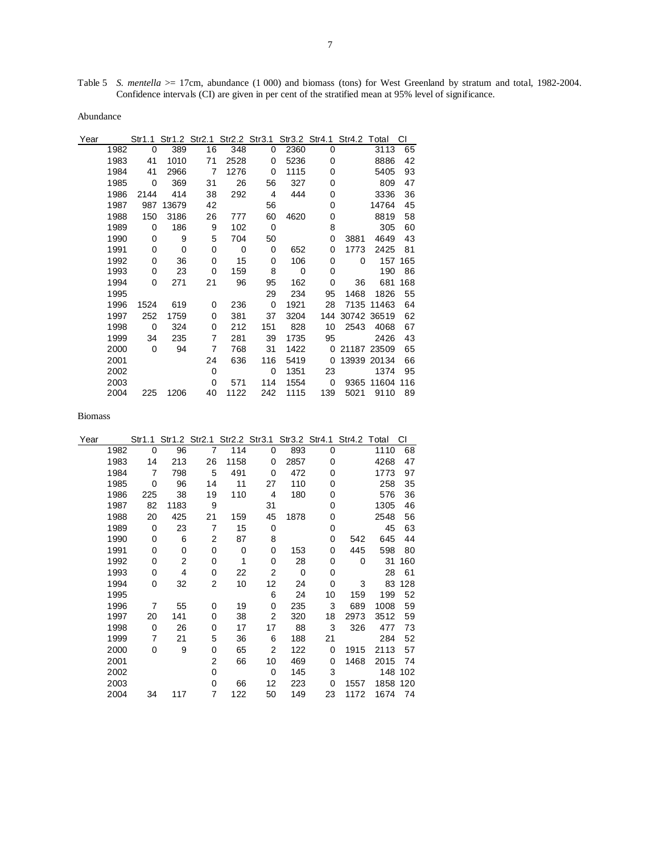Table 5 *S. mentella* >= 17cm, abundance (1 000) and biomass (tons) for West Greenland by stratum and total, 1982-2004. Confidence intervals (CI) are given in per cent of the stratified mean at 95% level of significance.

Abundance

| Year |      | Str1.1 |       | Str1.2 Str2.1 Str2.2 Str3.1 |      |     |      |     | Str3.2 Str4.1 Str4.2 Total |             | СI  |
|------|------|--------|-------|-----------------------------|------|-----|------|-----|----------------------------|-------------|-----|
|      | 1982 | 0      | 389   | 16                          | 348  | 0   | 2360 | 0   |                            | 3113        | 65  |
|      | 1983 | 41     | 1010  | 71                          | 2528 | 0   | 5236 | 0   |                            | 8886        | 42  |
|      | 1984 | 41     | 2966  | 7                           | 1276 | 0   | 1115 | 0   |                            | 5405        | 93  |
|      | 1985 | 0      | 369   | 31                          | 26   | 56  | 327  | 0   |                            | 809         | 47  |
|      | 1986 | 2144   | 414   | 38                          | 292  | 4   | 444  | 0   |                            | 3336        | 36  |
|      | 1987 | 987    | 13679 | 42                          |      | 56  |      | 0   |                            | 14764       | 45  |
|      | 1988 | 150    | 3186  | 26                          | 777  | 60  | 4620 | 0   |                            | 8819        | 58  |
|      | 1989 | 0      | 186   | 9                           | 102  | 0   |      | 8   |                            | 305         | 60  |
|      | 1990 | 0      | 9     | 5                           | 704  | 50  |      | 0   | 3881                       | 4649        | 43  |
|      | 1991 | 0      | 0     | 0                           | 0    | 0   | 652  | 0   | 1773                       | 2425        | 81  |
|      | 1992 | 0      | 36    | 0                           | 15   | 0   | 106  | 0   | 0                          | 157         | 165 |
|      | 1993 | 0      | 23    | 0                           | 159  | 8   | 0    | 0   |                            | 190         | 86  |
|      | 1994 | 0      | 271   | 21                          | 96   | 95  | 162  | 0   | 36                         | 681         | 168 |
|      | 1995 |        |       |                             |      | 29  | 234  | 95  | 1468                       | 1826        | 55  |
|      | 1996 | 1524   | 619   | 0                           | 236  | 0   | 1921 | 28  |                            | 7135 11463  | 64  |
|      | 1997 | 252    | 1759  | 0                           | 381  | 37  | 3204 |     | 144 30742 36519            |             | 62  |
|      | 1998 | 0      | 324   | 0                           | 212  | 151 | 828  | 10  | 2543                       | 4068        | 67  |
|      | 1999 | 34     | 235   | 7                           | 281  | 39  | 1735 | 95  |                            | 2426        | 43  |
|      | 2000 | 0      | 94    | 7                           | 768  | 31  | 1422 | 0   |                            | 21187 23509 | 65  |
|      | 2001 |        |       | 24                          | 636  | 116 | 5419 | 0   |                            | 13939 20134 | 66  |
|      | 2002 |        |       | 0                           |      | 0   | 1351 | 23  |                            | 1374        | 95  |
|      | 2003 |        |       | 0                           | 571  | 114 | 1554 | 0   |                            | 9365 11604  | 116 |
|      | 2004 | 225    | 1206  | 40                          | 1122 | 242 | 1115 | 139 | 5021                       | 9110        | 89  |

| Year |      | Str1.1 |                | Str1.2 Str2.1  | Str2.2 Str3.1 |             |          | Str3.2 Str4.1 | Str4.2 Total |      | СI  |
|------|------|--------|----------------|----------------|---------------|-------------|----------|---------------|--------------|------|-----|
|      | 1982 | 0      | 96             | 7              | 114           | 0           | 893      | 0             |              | 1110 | 68  |
|      | 1983 | 14     | 213            | 26             | 1158          | 0           | 2857     | 0             |              | 4268 | 47  |
|      | 1984 | 7      | 798            | 5              | 491           | 0           | 472      | 0             |              | 1773 | 97  |
|      | 1985 | 0      | 96             | 14             | 11            | 27          | 110      | 0             |              | 258  | 35  |
|      | 1986 | 225    | 38             | 19             | 110           | 4           | 180      | 0             |              | 576  | 36  |
|      | 1987 | 82     | 1183           | 9              |               | 31          |          | 0             |              | 1305 | 46  |
|      | 1988 | 20     | 425            | 21             | 159           | 45          | 1878     | 0             |              | 2548 | 56  |
|      | 1989 | 0      | 23             | 7              | 15            | 0           |          | 0             |              | 45   | 63  |
|      | 1990 | 0      | 6              | 2              | 87            | 8           |          | 0             | 542          | 645  | 44  |
|      | 1991 | 0      | 0              | 0              | 0             | 0           | 153      | 0             | 445          | 598  | 80  |
|      | 1992 | 0      | $\overline{c}$ | 0              | 1             | 0           | 28       | 0             | 0            | 31   | 160 |
|      | 1993 | 0      | 4              | 0              | 22            | 2           | $\Omega$ | 0             |              | 28   | 61  |
|      | 1994 | 0      | 32             | $\overline{2}$ | 10            | 12          | 24       | 0             | 3            | 83   | 128 |
|      | 1995 |        |                |                |               | 6           | 24       | 10            | 159          | 199  | 52  |
|      | 1996 | 7      | 55             | 0              | 19            | 0           | 235      | 3             | 689          | 1008 | 59  |
|      | 1997 | 20     | 141            | 0              | 38            | 2           | 320      | 18            | 2973         | 3512 | 59  |
|      | 1998 | 0      | 26             | 0              | 17            | 17          | 88       | 3             | 326          | 477  | 73  |
|      | 1999 | 7      | 21             | 5              | 36            | 6           | 188      | 21            |              | 284  | 52  |
|      | 2000 | 0      | 9              | 0              | 65            | 2           | 122      | 0             | 1915         | 2113 | 57  |
|      | 2001 |        |                | 2              | 66            | 10          | 469      | 0             | 1468         | 2015 | 74  |
|      | 2002 |        |                | $\Omega$       |               | $\mathbf 0$ | 145      | 3             |              | 148  | 102 |
|      | 2003 |        |                | 0              | 66            | 12          | 223      | 0             | 1557         | 1858 | 120 |
|      | 2004 | 34     | 117            | 7              | 122           | 50          | 149      | 23            | 1172         | 1674 | 74  |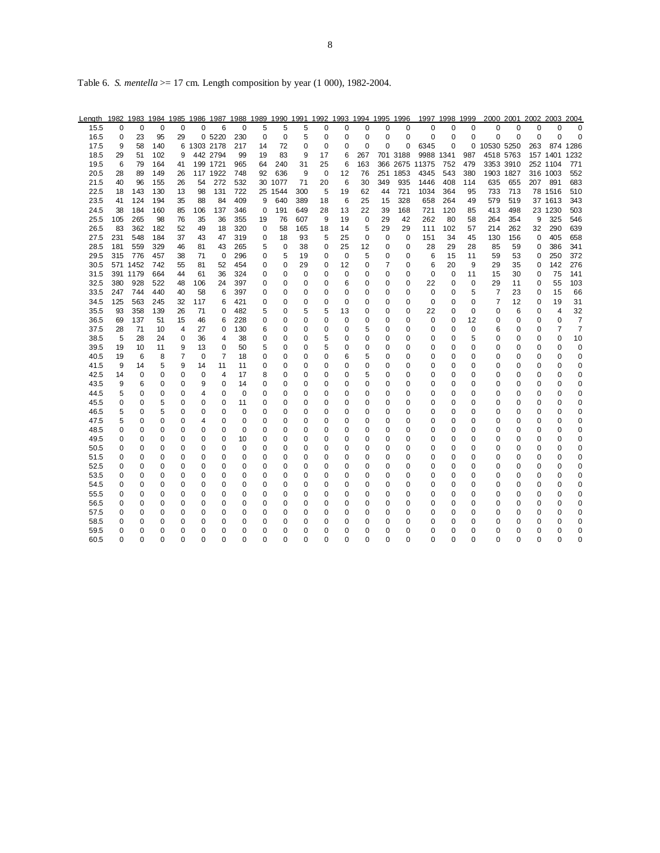Table 6. *S. mentella* >= 17 cm. Length composition by year (1 000), 1982-2004.

| Length | 1982   |          |        | 1983 1984 1985 1986 1987 1988 1989 1990 1991 1992 1993 1994 1995 1996 |           |          |     |             |             |          |    |        |             |             |             |           | 1997 1998 1999 |          |            | 2000 2001 2002 2003 |     |          | 2004           |
|--------|--------|----------|--------|-----------------------------------------------------------------------|-----------|----------|-----|-------------|-------------|----------|----|--------|-------------|-------------|-------------|-----------|----------------|----------|------------|---------------------|-----|----------|----------------|
| 15.5   | 0      | 0        | 0      | 0                                                                     | $\Omega$  | 6        | 0   | 5           | 5           | 5        | 0  | 0      | 0           | 0           | 0           | 0         | 0              | 0        | 0          | 0                   | 0   | 0        | $\Omega$       |
| 16.5   | 0      | 23       | 95     | 29                                                                    |           | 0 5220   | 230 | $\mathbf 0$ | 0           | 5        | 0  | 0      | 0           | 0           | $\mathbf 0$ | 0         | 0              | 0        | $\Omega$   | 0                   | 0   | $\Omega$ | 0              |
| 17.5   | 9      | 58       | 140    | 6                                                                     | 1303 2178 |          | 217 | 14          | 72          | 0        | 0  | 0      | $\Omega$    | $\Omega$    | $\mathbf 0$ | 6345      | 0              | 0        | 10530 5250 |                     | 263 |          | 874 1286       |
| 18.5   | 29     | 51       | 102    | 9                                                                     |           | 442 2794 | 99  | 19          | 83          | 9        | 17 | 6      | 267         |             | 701 3188    | 9988 1341 |                | 987      | 4518 5763  |                     |     | 157 1401 | 1232           |
| 19.5   | 6      | 79       | 164    | 41                                                                    |           | 199 1721 | 965 | 64          | 240         | 31       | 25 | 6      | 163         |             | 366 2675    | 11375     | 752            | 479      | 3353 3910  |                     |     | 252 1104 | 771            |
| 20.5   | 28     | 89       | 149    | 26                                                                    |           | 117 1922 | 748 | 92          | 636         | 9        | 0  | 12     | 76          | 251         | 1853        | 4345      | 543            | 380      | 1903 1827  |                     |     | 316 1003 | 552            |
| 21.5   | 40     | 96       | 155    | 26                                                                    | 54        | 272      | 532 | 30          | 1077        | 71       | 20 | 6      | 30          | 349         | 935         | 1446      | 408            | 114      | 635        | 655                 | 207 | 891      | 683            |
| 22.5   | 18     | 143      | 130    | 13                                                                    | 98        | 131      | 722 | 25          | 1544        | 300      | 5  | 19     | 62          | 44          | 721         | 1034      | 364            | 95       | 733        | 713                 |     | 78 1516  | 510            |
| 23.5   | 41     | 124      | 194    | 35                                                                    | 88        | 84       | 409 | 9           | 640         | 389      | 18 | 6      | 25          | 15          | 328         | 658       | 264            | 49       | 579        | 519                 |     | 37 1613  | 343            |
| 24.5   | 38     | 184      | 160    | 85                                                                    | 106       | 137      | 346 | $\mathbf 0$ | 191         | 649      | 28 | 13     | 22          | 39          | 168         | 721       | 120            | 85       | 413        | 498                 |     | 23 1230  | 503            |
| 25.5   | 105    | 265      | 98     | 76                                                                    | 35        | 36       | 355 | 19          | 76          | 607      | 9  | 19     | 0           | 29          | 42          | 262       | 80             | 58       | 264        | 354                 | 9   | 325      | 546            |
| 26.5   | 83     | 362      | 182    | 52                                                                    | 49        | 18       | 320 | 0           | 58          | 165      | 18 | 14     | 5           | 29          | 29          | 111       | 102            | 57       | 214        | 262                 | 32  | 290      | 639            |
| 27.5   | 231    | 548      | 184    | 37                                                                    | 43        | 47       | 319 | 0           | 18          | 93       | 5  | 25     | $\mathbf 0$ | $\mathbf 0$ | $\mathbf 0$ | 151       | 34             | 45       | 130        | 156                 | 0   | 405      | 658            |
| 28.5   | 181    | 559      | 329    | 46                                                                    | 81        | 43       | 265 | 5           | 0           | 38       | 0  | 25     | 12          | 0           | $\mathbf 0$ | 28        | 29             | 28       | 85         | 59                  | 0   | 386      | 341            |
| 29.5   | 315    | 776      | 457    | 38                                                                    | 71        | 0        | 296 | 0           | 5           | 19       | 0  | 0      | 5           | 0           | 0           | 6         | 15             | 11       | 59         | 53                  | 0   | 250      | 372            |
| 30.5   | 571    | 1452     | 742    | 55                                                                    | 81        | 52       | 454 | 0           | 0           | 29       | 0  | 12     | 0           | 7           | 0           | 6         | 20             | 9        | 29         | 35                  | 0   | 142      | 276            |
| 31.5   |        | 391 1179 | 664    | 44                                                                    | 61        | 36       | 324 | 0           | 0           | 0        | 0  | 0      | 0           | 0           | 0           | 0         | 0              | 11       | 15         | 30                  | 0   | 75       | 141            |
| 32.5   | 380    | 928      | 522    | 48                                                                    | 106       | 24       | 397 | 0           | 0           | 0        | 0  | 6      | 0           | 0           | 0           | 22        | 0              | 0        | 29         | 11                  | 0   | 55       | 103            |
| 33.5   | 247    | 744      | 440    | 40                                                                    | 58        | 6        | 397 | 0           | 0           | 0        | 0  | 0      | 0           | 0           | $\mathbf 0$ | 0         | 0              | 5        | 7          | 23                  | 0   | 15       | 66             |
| 34.5   | 125    | 563      | 245    | 32                                                                    | 117       | 6        | 421 | 0           | 0           | 0        | 0  | 0      | 0           | 0           | 0           | 0         | 0              | 0        | 7          | 12                  | 0   | 19       | 31             |
| 35.5   | 93     | 358      | 139    | 26                                                                    | 71        | $\Omega$ | 482 | 5           | 0           | 5        | 5  | 13     | 0           | 0           | $\mathbf 0$ | 22        | 0              | 0        | $\Omega$   | 6                   | 0   | 4        | 32             |
| 36.5   | 69     | 137      | 51     | 15                                                                    | 46        | 6        | 228 | 0           | 0           | 0        | 0  | 0      | 0           | 0           | 0           | 0         | 0              | 12       | 0          | 0                   | 0   | 0        | 7              |
| 37.5   | 28     | 71       | 10     | 4                                                                     | 27        | 0        | 130 | 6           | $\mathbf 0$ | 0        | 0  | 0      | 5           | 0           | $\mathbf 0$ | 0         | 0              | 0        | 6          | 0                   | 0   | 7        | $\overline{7}$ |
| 38.5   | 5      | 28       | 24     | 0                                                                     | 36        | 4        | 38  | 0           | 0           | 0        | 5  | 0      | 0           | 0           | 0           | 0         | 0              | 5        | 0          | 0                   | 0   | 0        | 10             |
| 39.5   | 19     | 10       | 11     | 9                                                                     | 13        | 0        | 50  | 5           | 0           | 0        | 5  | 0      | 0           | 0           | 0           | 0         | 0              | 0        | 0          | 0                   | 0   | 0        | 0              |
| 40.5   | 19     | 6        | 8      | 7                                                                     | $\Omega$  | 7        | 18  | 0           | 0           | 0        | 0  | 6      | 5           | $\Omega$    | $\Omega$    | 0         | $\Omega$       | 0        | $\Omega$   | $\Omega$            | 0   | 0        | 0              |
| 41.5   | 9      | 14       | 5      | 9                                                                     | 14        | 11       | 11  | 0           | 0           | 0        | 0  | 0      | 0           | 0           | 0           | 0         | 0              | 0        | 0          | 0                   | 0   | 0        | 0              |
| 42.5   | 14     | 0        | 0      | 0                                                                     | 0         | 4        | 17  | 8           | $\mathbf 0$ | 0        | 0  | 0      | 5           | 0           | $\mathbf 0$ | 0         | 0              | 0        | 0          | 0                   | 0   | 0        | 0              |
| 43.5   | 9      | 6        | 0      | 0                                                                     | 9         | 0        | 14  | 0           | 0           | 0        | 0  | 0      | 0           | 0           | 0           | 0         | 0              | 0        | 0          | 0                   | 0   | 0        | 0              |
| 44.5   | 5      | 0        | 0      | 0                                                                     | 4         | 0        | 0   | 0           | $\mathbf 0$ | 0        | 0  | 0      | 0           | 0           | 0           | 0         | 0              | 0        | 0          | 0                   | 0   | 0        | 0              |
| 45.5   | 0      | 0        | 5      | 0                                                                     | 0         | 0        | 11  | 0           | 0           | 0        | 0  | 0      | 0           | 0           | 0           | 0         | 0              | 0        | 0          | 0                   | 0   | 0        | 0              |
| 46.5   | 5      | 0        | 5      | 0                                                                     | 0         | 0        | 0   | 0           | 0           | 0        | 0  | 0      | 0           | 0           | $\mathbf 0$ | 0         | 0              | 0        | 0          | 0                   | 0   | 0        | 0              |
| 47.5   | 5      | 0        | 0      | 0                                                                     | 4         | 0        | 0   | 0           | 0           | 0        | 0  | 0      | 0           | 0           | 0           | 0         | 0              | 0        | 0          | 0                   | 0   | 0        | 0              |
| 48.5   | 0      | 0        | 0      | 0                                                                     | 0         | $\Omega$ | 0   | 0           | 0           | 0        | 0  | 0      | 0           | 0           | 0           | 0         | 0              | 0        | 0          | 0                   | 0   | 0        | 0              |
| 49.5   | 0      | 0        | 0      | 0                                                                     | 0         | 0        | 10  | 0           | $\mathbf 0$ | $\Omega$ | 0  | 0      | 0           | 0           | $\mathbf 0$ | 0         | 0              | $\Omega$ | 0          | 0                   | 0   | $\Omega$ | 0              |
| 50.5   | 0      | 0        | 0      | 0                                                                     | 0         | 0        | 0   | 0           | 0           | 0        | 0  | 0      | 0           | 0           | $\mathbf 0$ | 0         | 0              | 0        | 0          | 0                   | 0   | 0        | 0              |
| 51.5   | 0      | 0        | 0      | 0                                                                     | 0         | 0        | 0   | 0           | 0           | 0        | 0  | 0      | 0           | 0           | $\mathbf 0$ | 0         | 0              | $\Omega$ | 0          | 0                   | 0   | 0        | 0              |
| 52.5   | 0      | 0        | 0      | 0                                                                     | 0         | 0        | 0   | 0           | 0           | 0        | 0  | 0      | 0           | 0           | 0           | 0         | 0              | 0        | 0          | 0                   | 0   | 0        | 0              |
| 53.5   | 0      | 0        | 0      | 0                                                                     | 0         | 0        | 0   | 0           | 0           | 0        | 0  | 0      | 0           | 0           | 0           | 0         | 0              | 0        | 0          | 0                   | 0   | 0        | 0              |
|        |        |          |        |                                                                       |           |          | 0   | 0           | $\mathbf 0$ | 0        | 0  |        | 0           | 0           | $\mathbf 0$ |           | 0              | 0        | 0          | 0                   | 0   | 0        | 0              |
| 54.5   | 0<br>0 | 0<br>0   | 0<br>0 | 0<br>0                                                                | 0<br>0    | 0<br>0   | 0   |             | 0           | 0        | 0  | 0<br>0 | 0           |             | 0           | 0<br>0    | 0              | 0        | 0          | 0                   | 0   | 0        | 0              |
| 55.5   |        |          |        |                                                                       |           |          |     | 0           |             |          |    |        |             | 0           |             |           |                |          |            |                     |     |          |                |
| 56.5   | 0      | 0        | 0      | 0                                                                     | 0         | 0        | 0   | 0           | 0           | 0        | 0  | 0      | 0           | 0           | 0           | 0         | 0              | 0        | 0          | 0                   | 0   | 0        | 0              |
| 57.5   | 0      | 0        | 0      | 0                                                                     | 0         | 0        | 0   | 0           | 0           | 0        | 0  | 0      | 0           | 0           | 0           | 0         | 0              | 0        | 0          | 0                   | 0   | 0        | 0              |
| 58.5   | 0      | 0        | 0      | 0                                                                     | 0         | 0        | 0   | 0           | 0           | 0        | 0  | 0      | 0           | 0           | $\Omega$    | 0         | $\Omega$       | 0        | 0          | $\Omega$            | 0   | 0        | 0              |
| 59.5   | 0      | 0        | 0      | 0                                                                     | 0         | 0        | 0   | 0           | 0           | 0        | 0  | 0      | 0           | 0           | $\mathbf 0$ | 0         | 0              | 0        | 0          | 0                   | 0   | 0        | 0              |
| 60.5   | 0      | 0        | 0      | 0                                                                     | 0         | 0        | 0   | 0           | 0           | 0        | 0  | 0      | 0           | 0           | 0           | 0         | 0              | 0        | 0          | 0                   | 0   | 0        | 0              |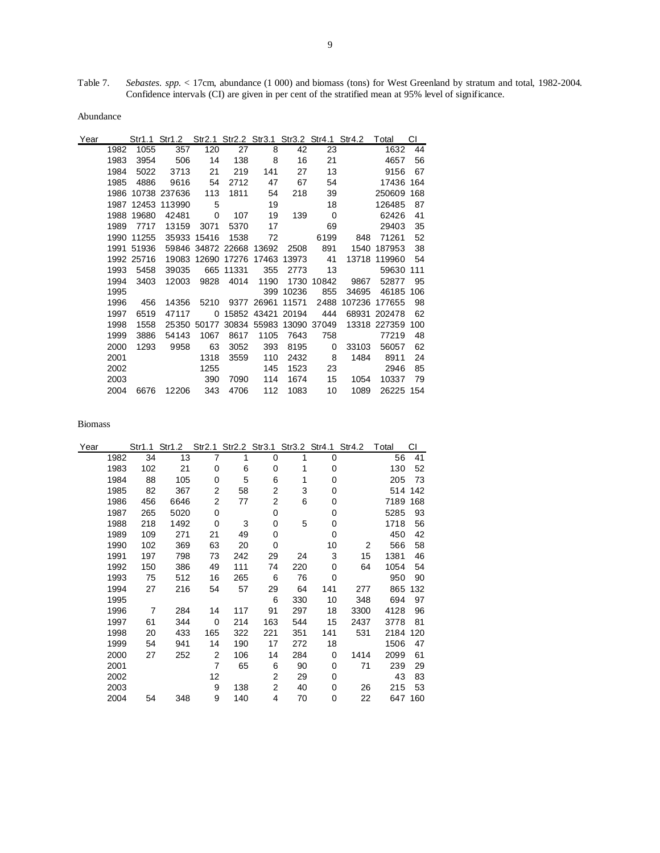Table 7. *Sebastes. spp.* < 17cm, abundance (1 000) and biomass (tons) for West Greenland by stratum and total, 1982-2004.

Abundance

| Year |      |            |              |             |                   |                   |                         |                | Str1.1 Str1.2 Str2.1 Str2.2 Str3.1 Str3.2 Str4.1 Str4.2 Total |              | СI  |
|------|------|------------|--------------|-------------|-------------------|-------------------|-------------------------|----------------|---------------------------------------------------------------|--------------|-----|
|      | 1982 | 1055       | 357          | 120         | 27                | 8                 | 42                      | 23             |                                                               | 1632         | 44  |
|      | 1983 | 3954       | 506          | 14          | 138               | 8                 | 16                      | 21             |                                                               | 4657         | 56  |
|      | 1984 | 5022       | 3713         | 21          | 219               | 141               | 27                      | 13             |                                                               | 9156         | 67  |
|      | 1985 | 4886       | 9616         | 54          | 2712              | 47                | 67                      | 54             |                                                               | 17436        | 164 |
|      | 1986 |            | 10738 237636 | 113         | 1811              | 54                | 218                     | 39             |                                                               | 250609       | 168 |
|      | 1987 |            | 12453 113990 | 5           |                   | 19                |                         | 18             |                                                               | 126485       | 87  |
|      | 1988 | 19680      | 42481        | 0           | 107               | 19                | 139                     | $\overline{0}$ |                                                               | 62426        | 41  |
|      | 1989 | 7717       | 13159        | 3071        | 5370              | 17                |                         | 69             |                                                               | 29403        | 35  |
|      | 1990 | 11255      |              | 35933 15416 | 1538              | 72                |                         | 6199           | 848                                                           | 71261        | 52  |
|      | 1991 | 51936      |              |             | 59846 34872 22668 | 13692             | 2508                    | 891            | 1540                                                          | 187953       | 38  |
|      |      | 1992 25716 |              |             | 19083 12690 17276 |                   | 17463 13973             | 41             |                                                               | 13718 119960 | -54 |
|      | 1993 | 5458       | 39035        |             | 665 11331         | 355               | 2773                    | 13             |                                                               | 59630        | 111 |
|      | 1994 | 3403       | 12003        | 9828        | 4014              | 1190              | 1730                    | 10842          | 9867                                                          | 52877        | 95  |
|      | 1995 |            |              |             |                   | 399               | 10236                   | 855            | 34695                                                         | 46185        | 106 |
|      | 1996 | 456        | 14356        | 5210        |                   | 9377 26961        | 11571                   | 2488           | 107236                                                        | 177655       | 98  |
|      | 1997 | 6519       | 47117        | 0           |                   | 15852 43421 20194 |                         | 444            | 68931                                                         | 202478       | 62  |
|      | 1998 | 1558       |              | 25350 50177 |                   |                   | 30834 55983 13090 37049 |                |                                                               | 13318 227359 | 100 |
|      | 1999 | 3886       | 54143        | 1067        | 8617              | 1105              | 7643                    | 758            |                                                               | 77219        | 48  |
|      | 2000 | 1293       | 9958         | 63          | 3052              | 393               | 8195                    | 0              | 33103                                                         | 56057        | 62  |
|      | 2001 |            |              | 1318        | 3559              | 110               | 2432                    | -8             | 1484                                                          | 8911         | 24  |
|      | 2002 |            |              | 1255        |                   | 145               | 1523                    | 23             |                                                               | 2946         | 85  |
|      | 2003 |            |              | 390         | 7090              | 114               | 1674                    | 15             | 1054                                                          | 10337        | 79  |
|      | 2004 | 6676       | 12206        | 343         | 4706              | 112               | 1083                    | 10             | 1089                                                          | 26225 154    |     |

Biomass

| Year |      | Str1.1 | Str1.2 | Str2.1      | Str2.2 Str3.1 |     |     | Str3.2 Str4.1 | Str4.2 | Total | СI      |
|------|------|--------|--------|-------------|---------------|-----|-----|---------------|--------|-------|---------|
|      | 1982 | 34     | 13     | 7           | 1             | 0   | 1   | 0             |        | 56    | 41      |
|      | 1983 | 102    | 21     | 0           | 6             | 0   | 1   | 0             |        | 130   | 52      |
|      | 1984 | 88     | 105    | 0           | 5             | 6   | 1   | 0             |        | 205   | 73      |
|      | 1985 | 82     | 367    | 2           | 58            | 2   | 3   | 0             |        | 514   | 142     |
|      | 1986 | 456    | 6646   | 2           | 77            | 2   | 6   | 0             |        | 7189  | 168     |
|      | 1987 | 265    | 5020   | 0           |               | 0   |     | 0             |        | 5285  | 93      |
|      | 1988 | 218    | 1492   | 0           | 3             | 0   | 5   | 0             |        | 1718  | 56      |
|      | 1989 | 109    | 271    | 21          | 49            | 0   |     | 0             |        | 450   | 42      |
|      | 1990 | 102    | 369    | 63          | 20            | 0   |     | 10            | 2      | 566   | 58      |
|      | 1991 | 197    | 798    | 73          | 242           | 29  | 24  | 3             | 15     | 1381  | 46      |
|      | 1992 | 150    | 386    | 49          | 111           | 74  | 220 | 0             | 64     | 1054  | 54      |
|      | 1993 | 75     | 512    | 16          | 265           | 6   | 76  | 0             |        | 950   | 90      |
|      | 1994 | 27     | 216    | 54          | 57            | 29  | 64  | 141           | 277    | 865   | 132     |
|      | 1995 |        |        |             |               | 6   | 330 | 10            | 348    | 694   | 97      |
|      | 1996 | 7      | 284    | 14          | 117           | 91  | 297 | 18            | 3300   | 4128  | 96      |
|      | 1997 | 61     | 344    | $\mathbf 0$ | 214           | 163 | 544 | 15            | 2437   | 3778  | 81      |
|      | 1998 | 20     | 433    | 165         | 322           | 221 | 351 | 141           | 531    | 2184  | 120     |
|      | 1999 | 54     | 941    | 14          | 190           | 17  | 272 | 18            |        | 1506  | 47      |
|      | 2000 | 27     | 252    | 2           | 106           | 14  | 284 | 0             | 1414   | 2099  | 61      |
|      | 2001 |        |        | 7           | 65            | 6   | 90  | 0             | 71     | 239   | 29      |
|      | 2002 |        |        | 12          |               | 2   | 29  | 0             |        | 43    | 83      |
|      | 2003 |        |        | 9           | 138           | 2   | 40  | 0             | 26     | 215   | 53      |
|      | 2004 | 54     | 348    | 9           | 140           | 4   | 70  | 0             | 22     |       | 647 160 |

Confidence intervals (CI) are given in per cent of the stratified mean at 95% level of significance.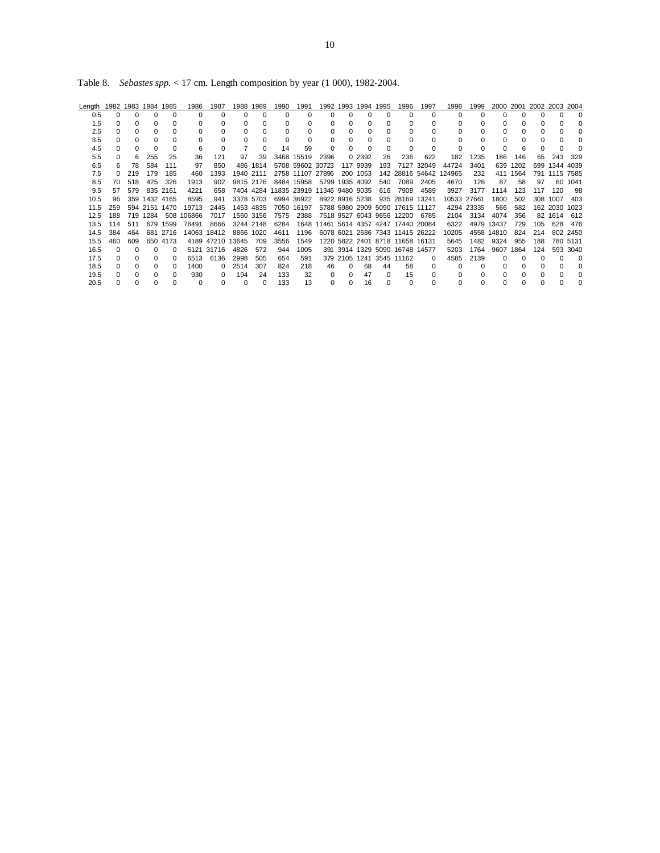Table 8. *Sebastes spp.* < 17 cm. Length composition by year (1 000), 1982-2004.

| Length | 1982 1983 |              | 1984 1985     |              | 1986       | 1987             | 1988      | 1989     | 1990 | 1991                                  | 1992         | 1993         | 1994           | 1995 | 1996                                  | 1997            | 1998        | 1999       |            | 2000 2001 | 2002 2003 2004 |               |          |
|--------|-----------|--------------|---------------|--------------|------------|------------------|-----------|----------|------|---------------------------------------|--------------|--------------|----------------|------|---------------------------------------|-----------------|-------------|------------|------------|-----------|----------------|---------------|----------|
| 0.5    |           | $\Omega$     | 0             | $\Omega$     | n          |                  | 0         | O        |      | <sup>0</sup>                          | n            | $\Omega$     |                |      | $\Omega$                              | C               | O           |            |            |           |                | n             | $\Omega$ |
| 1.5    | O.        | <sup>n</sup> | O             | <sup>0</sup> |            |                  | 0         |          |      | 0                                     |              | <sup>0</sup> |                |      | $\Omega$                              | U               |             |            |            |           |                |               |          |
| 2.5    |           |              |               |              |            |                  |           |          |      | <sup>0</sup>                          |              |              |                |      |                                       |                 |             |            |            |           |                |               |          |
| 3.5    |           | <sup>0</sup> | 0             | O            |            |                  |           |          |      | $\Omega$                              |              |              |                |      | $\Omega$                              |                 |             |            |            |           |                |               |          |
| 4.5    | O.        |              | 0             | 0            |            |                  |           | $\Omega$ | 14   | 59                                    | <sup>0</sup> |              |                |      | $\Omega$                              | 0               | 0           |            |            |           |                |               |          |
| 5.5    |           | 6            | 255           | 25           | 36         | 121              | 97        | 39       |      | 3468 15519                            | 2396         |              | 0 2392         | 26   | 236                                   | 622             | 182         | 1235       | 186        | 146       | 65             | 243           | 329      |
| 6.5    |           | 78           | 584           | 111          | 97         | 850              | 486       | 1814     |      | 5708 59602 30723                      |              |              | 117 9939       | 193  |                                       | 7127 32049      | 44724       | 3401       | 639        | 1202      |                | 699 1344 4039 |          |
| 7.5    |           | 219          | 179           | 185          | 460        | 1393             | 1940 2111 |          |      | 2758 11107 27896                      |              |              | 200 1053       |      |                                       | 142 28816 54642 | 124965      | 232        | 411        | 1564      |                | 791 1115 7585 |          |
| 8.5    | 70        | 518          | 425           | 326          | 1913       | 902              | 9815 2176 |          |      | 8484 15958                            |              |              | 5799 1935 4092 | 540  | 7089                                  | 2405            | 4670        | 126        | 87         | 58        | 97             |               | 60 1041  |
| 9.5    | 57        | 579          |               | 835 2161     | 4221       | 658              |           |          |      | 7404 4284 11835 23919 11346 9480 9035 |              |              |                | 616  | 7908                                  | 4589            | 3927        | 3177       | 1114       | 123       | 117            | 120           | 98       |
| 10.5   | 96        | 359          | 1432 4165     |              | 8595       | 941              | 3378 5703 |          |      | 6994 36922                            |              |              | 8922 8916 5238 |      | 935 28169                             | 13241           | 10533 27661 |            | 1800       | 502       | 308            | 1007          | 403      |
| 11.5   | 259       |              | 594 2151 1470 |              | 19713      | 2445             | 1453 4835 |          |      | 7050 16197                            |              |              |                |      | 5788 5980 2909 5090 17615 11127       |                 |             | 4294 23335 | 566        | 582       |                | 162 2030 1023 |          |
| 12.5   | 188       |              | 719 1284      |              | 508 106866 | 7017             | 1560 3156 |          | 7575 | 2388                                  |              |              |                |      | 7518 9527 6043 9656 12200             | 6785            | 2104        | 3134       | 4074       | 356       |                | 82 1614       | 612      |
| 13.5   | 114       | 511          | 679           | 1599         | 76491      | 8666             | 3244 2148 |          | 6284 |                                       |              |              |                |      | 1648 11461 5614 4357 4247 17440 20084 |                 | 6322        |            | 4979 13437 | 729       | 105            | 628           | 476      |
| 14.5   | 384       | 464          |               | 681 2716     |            | 14063 18412      | 8866 1020 |          | 4611 | 1196                                  |              |              |                |      | 6078 6021 2686 7343 11415 26222       |                 | 10205       |            | 4558 14810 | 824       | 214            |               | 802 2450 |
| 15.5   | 460       | 609          |               | 650 4173     |            | 4189 47210 13645 |           | 709      | 3556 | 1549                                  |              |              |                |      | 1220 5822 2401 8718 11658 16131       |                 | 5645        | 1482       | 9324       | 955       | 188            |               | 780 5131 |
| 16.5   |           | <sup>0</sup> | <sup>0</sup>  | $\Omega$     |            | 5121 31716       | 4826      | 572      | 944  | 1005                                  |              |              |                |      | 391 3914 1329 5090 16748 14577        |                 | 5203        | 1764       | 9607       | 1864      | 124            |               | 593 3040 |
| 17.5   |           |              | U             | <sup>0</sup> | 6513       | 6136             | 2998      | 505      | 654  | 591                                   |              |              |                |      | 379 2105 1241 3545 11162              | O               | 4585        | 2139       |            |           |                | U             | n        |
| 18.5   |           |              | 0             | 0            | 1400       | <sup>0</sup>     | 2514      | 307      | 824  | 218                                   | 46           | $\Omega$     | 68             | 44   | 58                                    | 0               | $\Omega$    |            |            |           |                |               |          |
| 19.5   | O.        |              | 0             | 0            | 930        | <sup>0</sup>     | 194       | 24       | 133  | 32                                    | 0            | $\Omega$     | 47             | 0    | 15                                    |                 | 0           |            |            | 0         |                |               | 0        |
| 20.5   |           |              |               |              |            |                  | $\Omega$  | 0        | 133  | 13                                    | <sup>o</sup> |              | 16             |      | $\Omega$                              |                 | 0           |            |            |           |                |               |          |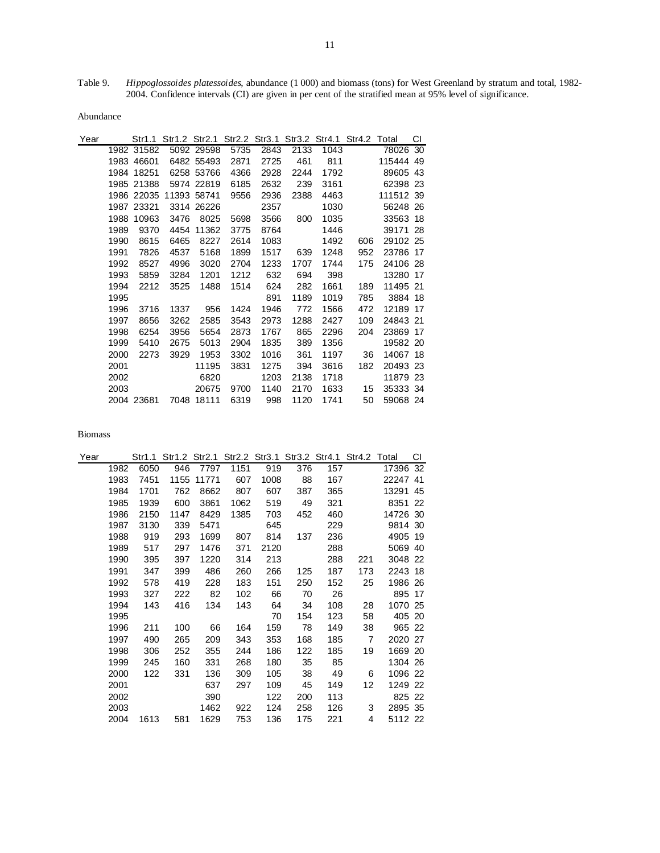Table 9. *Hippoglossoides platessoides*, abundance (1 000) and biomass (tons) for West Greenland by stratum and total, 1982- 2004. Confidence intervals (CI) are given in per cent of the stratified mean at 95% level of significance.

Abundance

| Year |      | Str1.1     |      |             |      | Str1.2 Str2.1 Str2.2 Str3.1 Str3.2 Str4.1 Str4.2 Total |      |      |     |           | СI |
|------|------|------------|------|-------------|------|--------------------------------------------------------|------|------|-----|-----------|----|
|      |      | 1982 31582 |      | 5092 29598  | 5735 | 2843                                                   | 2133 | 1043 |     | 78026 30  |    |
|      |      | 1983 46601 |      | 6482 55493  | 2871 | 2725                                                   | 461  | 811  |     | 115444 49 |    |
|      |      | 1984 18251 |      | 6258 53766  | 4366 | 2928                                                   | 2244 | 1792 |     | 89605 43  |    |
|      |      | 1985 21388 |      | 5974 22819  | 6185 | 2632                                                   | 239  | 3161 |     | 62398 23  |    |
|      |      | 1986 22035 |      | 11393 58741 | 9556 | 2936                                                   | 2388 | 4463 |     | 111512 39 |    |
|      |      | 1987 23321 |      | 3314 26226  |      | 2357                                                   |      | 1030 |     | 56248 26  |    |
|      | 1988 | 10963      | 3476 | 8025        | 5698 | 3566                                                   | 800  | 1035 |     | 33563 18  |    |
|      | 1989 | 9370       | 4454 | 11362       | 3775 | 8764                                                   |      | 1446 |     | 39171 28  |    |
|      | 1990 | 8615       | 6465 | 8227        | 2614 | 1083                                                   |      | 1492 | 606 | 29102 25  |    |
|      | 1991 | 7826       | 4537 | 5168        | 1899 | 1517                                                   | 639  | 1248 | 952 | 23786 17  |    |
|      | 1992 | 8527       | 4996 | 3020        | 2704 | 1233                                                   | 1707 | 1744 | 175 | 24106 28  |    |
|      | 1993 | 5859       | 3284 | 1201        | 1212 | 632                                                    | 694  | 398  |     | 13280 17  |    |
|      | 1994 | 2212       | 3525 | 1488        | 1514 | 624                                                    | 282  | 1661 | 189 | 11495 21  |    |
|      | 1995 |            |      |             |      | 891                                                    | 1189 | 1019 | 785 | 3884 18   |    |
|      | 1996 | 3716       | 1337 | 956         | 1424 | 1946                                                   | 772  | 1566 | 472 | 12189 17  |    |
|      | 1997 | 8656       | 3262 | 2585        | 3543 | 2973                                                   | 1288 | 2427 | 109 | 24843 21  |    |
|      | 1998 | 6254       | 3956 | 5654        | 2873 | 1767                                                   | 865  | 2296 | 204 | 23869 17  |    |
|      | 1999 | 5410       | 2675 | 5013        | 2904 | 1835                                                   | 389  | 1356 |     | 19582 20  |    |
|      | 2000 | 2273       | 3929 | 1953        | 3302 | 1016                                                   | 361  | 1197 | 36  | 14067 18  |    |
|      | 2001 |            |      | 11195       | 3831 | 1275                                                   | 394  | 3616 | 182 | 20493 23  |    |
|      | 2002 |            |      | 6820        |      | 1203                                                   | 2138 | 1718 |     | 11879 23  |    |
|      | 2003 |            |      | 20675       | 9700 | 1140                                                   | 2170 | 1633 | 15  | 35333 34  |    |
|      |      | 2004 23681 |      | 7048 18111  | 6319 | 998                                                    | 1120 | 1741 | 50  | 59068 24  |    |

| Year |      | Str1.1 |      |       |      |      | Str1.2 Str2.1 Str2.2 Str3.1 Str3.2 Str4.1 Str4.2 Total |     |                |          | СI |
|------|------|--------|------|-------|------|------|--------------------------------------------------------|-----|----------------|----------|----|
|      | 1982 | 6050   | 946  | 7797  | 1151 | 919  | 376                                                    | 157 |                | 17396 32 |    |
|      | 1983 | 7451   | 1155 | 11771 | 607  | 1008 | 88                                                     | 167 |                | 22247 41 |    |
|      | 1984 | 1701   | 762  | 8662  | 807  | 607  | 387                                                    | 365 |                | 13291    | 45 |
|      | 1985 | 1939   | 600  | 3861  | 1062 | 519  | 49                                                     | 321 |                | 8351 22  |    |
|      | 1986 | 2150   | 1147 | 8429  | 1385 | 703  | 452                                                    | 460 |                | 14726 30 |    |
|      | 1987 | 3130   | 339  | 5471  |      | 645  |                                                        | 229 |                | 9814 30  |    |
|      | 1988 | 919    | 293  | 1699  | 807  | 814  | 137                                                    | 236 |                | 4905 19  |    |
|      | 1989 | 517    | 297  | 1476  | 371  | 2120 |                                                        | 288 |                | 5069 40  |    |
|      | 1990 | 395    | 397  | 1220  | 314  | 213  |                                                        | 288 | 221            | 3048 22  |    |
|      | 1991 | 347    | 399  | 486   | 260  | 266  | 125                                                    | 187 | 173            | 2243 18  |    |
|      | 1992 | 578    | 419  | 228   | 183  | 151  | 250                                                    | 152 | 25             | 1986 26  |    |
|      | 1993 | 327    | 222  | 82    | 102  | 66   | 70                                                     | 26  |                | 895 17   |    |
|      | 1994 | 143    | 416  | 134   | 143  | 64   | 34                                                     | 108 | 28             | 1070 25  |    |
|      | 1995 |        |      |       |      | 70   | 154                                                    | 123 | 58             | 405 20   |    |
|      | 1996 | 211    | 100  | 66    | 164  | 159  | 78                                                     | 149 | 38             | 965 22   |    |
|      | 1997 | 490    | 265  | 209   | 343  | 353  | 168                                                    | 185 | $\overline{7}$ | 2020 27  |    |
|      | 1998 | 306    | 252  | 355   | 244  | 186  | 122                                                    | 185 | 19             | 1669 20  |    |
|      | 1999 | 245    | 160  | 331   | 268  | 180  | 35                                                     | 85  |                | 1304 26  |    |
|      | 2000 | 122    | 331  | 136   | 309  | 105  | 38                                                     | 49  | 6              | 1096 22  |    |
|      | 2001 |        |      | 637   | 297  | 109  | 45                                                     | 149 | 12             | 1249 22  |    |
|      | 2002 |        |      | 390   |      | 122  | 200                                                    | 113 |                | 825 22   |    |
|      | 2003 |        |      | 1462  | 922  | 124  | 258                                                    | 126 | 3              | 2895 35  |    |
|      | 2004 | 1613   | 581  | 1629  | 753  | 136  | 175                                                    | 221 | 4              | 5112 22  |    |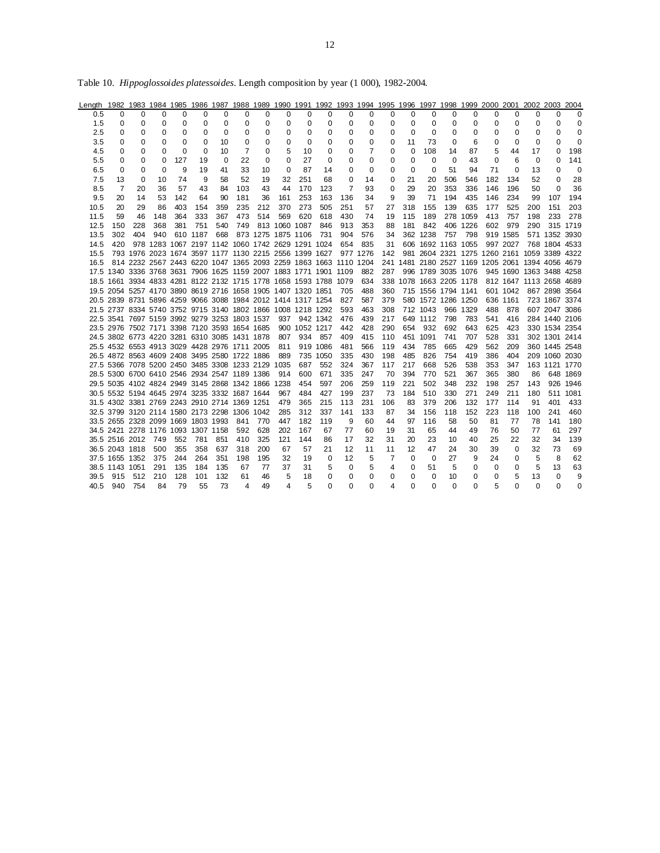| Length 1982 1983 1984 1985 1986 1987 1988 1989 1990 1991 1992 1993 1994 1995 1996 1997 1998 1999 2000 2001 2002 2003 2004 |                |                |                                                             |          |          |     |          |                    |               |               |                                                                  |          |          |     |                         |          |                    |          |                                                  |          |     |                         |          |
|---------------------------------------------------------------------------------------------------------------------------|----------------|----------------|-------------------------------------------------------------|----------|----------|-----|----------|--------------------|---------------|---------------|------------------------------------------------------------------|----------|----------|-----|-------------------------|----------|--------------------|----------|--------------------------------------------------|----------|-----|-------------------------|----------|
| 0.5                                                                                                                       | $\Omega$       | $\Omega$       | 0                                                           | $\Omega$ | $\Omega$ | 0   | $\Omega$ | $\Omega$           | 0             | $\Omega$      | 0                                                                | 0        | $\Omega$ | 0   | $\Omega$                | $\Omega$ | $\Omega$           | 0        | $\Omega$                                         | 0        | 0   | 0                       | 0        |
| 1.5                                                                                                                       | 0              | 0              | 0                                                           | 0        | 0        | 0   | 0        | 0                  | 0             | 0             | 0                                                                | 0        | 0        | 0   | 0                       | 0        | 0                  | 0        | 0                                                | 0        | 0   | 0                       | 0        |
| 2.5                                                                                                                       | 0              | 0              | 0                                                           | 0        | 0        | 0   | 0        | 0                  | 0             | 0             | 0                                                                | 0        | 0        | 0   | 0                       | 0        | 0                  | 0        | 0                                                | 0        | 0   | $\Omega$                | 0        |
| 3.5                                                                                                                       | 0              | 0              | 0                                                           | 0        | 0        | 10  | 0        | 0                  | 0             | 0             | 0                                                                | 0        | 0        | 0   | 11                      | 73       | 0                  | 6        | 0                                                | 0        | 0   | $\Omega$                | 0        |
| 4.5                                                                                                                       | 0              | 0              | 0                                                           | $\Omega$ | 0        | 10  | 7        | 0                  | 5             | 10            | 0                                                                | 0        | 7        | 0   | $\Omega$                | 108      | 14                 | 87       | 5                                                | 44       | 17  | 0                       | 198      |
| 5.5                                                                                                                       | 0              | 0              | 0                                                           | 127      | 19       | 0   | 22       | $\Omega$           | 0             | 27            | $\Omega$                                                         | 0        | $\Omega$ | 0   | 0                       | $\Omega$ | $\Omega$           | 43       | $\Omega$                                         | 6        | 0   | 0                       | 141      |
| 6.5                                                                                                                       | 0              | $\Omega$       | $\Omega$                                                    | 9        | 19       | 41  | 33       | 10                 | $\Omega$      | 87            | 14                                                               | 0        | $\Omega$ | 0   | $\Omega$                | 0        | 51                 | 94       | 71                                               | 0        | 13  | 0                       | 0        |
| 7.5                                                                                                                       | 13             | 0              | 10                                                          | 74       | 9        | 58  | 52       | 19                 | 32            | 251           | 68                                                               | 0        | 14       | 0   | 21                      | 20       | 506                | 546      | 182                                              | 134      | 52  | 0                       | 28       |
| 8.5                                                                                                                       | 7              | 20             | 36                                                          | 57       | 43       | 84  | 103      | 43                 | 44            | 170           | 123                                                              | 7        | 93       | 0   | 29                      | 20       | 353                | 336      | 146                                              | 196      | 50  | $\Omega$                | 36       |
| 9.5                                                                                                                       | 20             | 14             | 53                                                          | 142      | 64       | 90  | 181      | 36                 | 161           | 253           | 163                                                              | 136      | 34       | 9   | 39                      | 71       | 194                | 435      | 146                                              | 234      | 99  | 107                     | 194      |
| 10.5                                                                                                                      | 20             | 29             | 86                                                          | 403      | 154      | 359 | 235      | 212                | 370           | 273           | 505                                                              | 251      | 57       | 27  | 318                     | 155      | 139                | 635      | 177                                              | 525      | 200 | 151                     | 203      |
| 11.5                                                                                                                      | 59             | 46             | 148                                                         | 364      | 333      | 367 | 473      | 514                | 569           | 620           | 618                                                              | 430      | 74       | 19  | 115                     | 189      |                    | 278 1059 | 413                                              | 757      | 198 | 233                     | 278      |
| 12.5                                                                                                                      | 150            | 228            | 368                                                         | 381      | 751      | 540 | 749      |                    | 813 1060 1087 |               | 846                                                              | 913      | 353      | 88  | 181                     | 842      |                    | 406 1226 | 602                                              | 979      | 290 |                         | 315 1719 |
| 13.5                                                                                                                      | 302            | 404            | 940                                                         |          | 610 1187 | 668 |          | 873 1275 1875 1106 |               |               | 731                                                              | 904      | 576      | 34  |                         | 362 1238 | 757                | 798      |                                                  | 919 1585 |     | 571 1352                | 3930     |
| 14.5                                                                                                                      | 420            |                | 978 1283 1067 2197 1142 1060 1742 2629 1291 1024            |          |          |     |          |                    |               |               |                                                                  | 654      | 835      | 31  |                         |          | 606 1692 1163 1055 |          |                                                  | 997 2027 |     | 768 1804 4533           |          |
| 15.5                                                                                                                      |                |                |                                                             |          |          |     |          |                    |               |               | 793 1976 2023 1674 3597 1177 1130 2215 2556 1399 1627 977 1276   |          |          | 142 |                         |          |                    |          | 981 2604 2321 1275 1260 2161 1059 3389 4322      |          |     |                         |          |
| 16.5                                                                                                                      |                |                |                                                             |          |          |     |          |                    |               |               | 814 2232 2567 2443 6220 1047 1365 2093 2259 1863 1663 1110 1204  |          |          |     |                         |          |                    |          | 241 1481 2180 2527 1169 1205 2061 1394 4056 4679 |          |     |                         |          |
|                                                                                                                           |                |                |                                                             |          |          |     |          |                    |               |               | 17.5 1340 3336 3768 3631 7906 1625 1159 2007 1883 1771 1901 1109 |          | 882      | 287 |                         |          | 996 1789 3035 1076 |          |                                                  |          |     | 945 1690 1363 3488 4258 |          |
|                                                                                                                           |                |                |                                                             |          |          |     |          |                    |               |               | 18.5 1661 3934 4833 4281 8122 2132 1715 1778 1658 1593 1788 1079 |          | 634      |     | 338 1078 1663 2205 1178 |          |                    |          |                                                  |          |     | 812 1647 1113 2658 4689 |          |
|                                                                                                                           |                |                | 19.5 2054 5257 4170 3890 8619 2716 1658 1905 1407 1320 1851 |          |          |     |          |                    |               |               |                                                                  | 705      | 488      | 360 |                         |          | 715 1556 1794 1141 |          |                                                  | 601 1042 |     | 867 2898 3564           |          |
|                                                                                                                           |                |                | 20.5 2839 8731 5896 4259 9066 3088 1984 2012 1414 1317 1254 |          |          |     |          |                    |               |               |                                                                  | 827      | 587      | 379 |                         |          | 580 1572 1286 1250 |          |                                                  | 636 1161 |     | 723 1867 3374           |          |
|                                                                                                                           |                |                | 21.5 2737 8334 5740 3752 9715 3140 1802 1866 1008 1218 1292 |          |          |     |          |                    |               |               |                                                                  | 593      | 463      | 308 |                         | 712 1043 |                    | 966 1329 | 488                                              | 878      |     | 607 2047 3086           |          |
|                                                                                                                           |                |                | 22.5 3541 7697 5159 3992 9279 3253 1803 1537                |          |          |     |          |                    |               | 937 942 1342  |                                                                  | 476      | 439      | 217 |                         | 649 1112 | 798                | 783      | 541                                              | 416      |     | 284 1440 2106           |          |
|                                                                                                                           |                |                | 23.5 2976 7502 7171 3398 7120 3593 1654 1685                |          |          |     |          |                    |               | 900 1052 1217 |                                                                  | 442      | 428      | 290 | 654                     | 932      | 692                | 643      | 625                                              | 423      |     | 330 1534 2354           |          |
|                                                                                                                           |                |                | 24.5 3802 6773 4220 3281 6310 3085 1431 1878                |          |          |     |          |                    |               | 807 934       | 857                                                              | 409      | 415      | 110 |                         | 451 1091 | 741                | 707      | 528                                              | 331      |     | 302 1301 2414           |          |
|                                                                                                                           |                |                | 25.5 4532 6553 4913 3029 4428 2976 1711 2005                |          |          |     |          |                    | 811           |               | 919 1086                                                         | 481      | 566      | 119 | 434                     | 785      | 665                | 429      | 562                                              | 209      |     | 360 1445 2548           |          |
|                                                                                                                           |                |                | 26.5 4872 8563 4609 2408 3495 2580 1722 1886                |          |          |     |          |                    | 889           |               | 735 1050                                                         | 335      | 430      | 198 | 485                     | 826      | 754                | 419      | 386                                              | 404      |     | 209 1060 2030           |          |
|                                                                                                                           |                |                | 27.5 5366 7078 5200 2450 3485 3308 1233 2129 1035           |          |          |     |          |                    |               | 687           | 552                                                              | 324      | 367      | 117 | 217                     | 668      | 526                | 538      | 353                                              | 347      |     | 163 1121 1770           |          |
|                                                                                                                           |                |                | 28.5 5300 6700 6410 2546 2934 2547 1189 1386                |          |          |     |          |                    | 914           | 600           | 671                                                              | 335      | 247      | 70  | 394                     | 770      | 521                | 367      | 365                                              | 380      | 86  |                         | 648 1869 |
|                                                                                                                           |                |                | 29.5 5035 4102 4824 2949 3145 2868 1342 1866 1238           |          |          |     |          |                    |               | 454           | 597                                                              | 206      | 259      | 119 | 221                     | 502      | 348                | 232      | 198                                              | 257      | 143 | 926                     | 1946     |
|                                                                                                                           |                |                | 30.5 5532 5194 4645 2974 3235 3332 1687 1644                |          |          |     |          |                    | 967           | 484           | 427                                                              | 199      | 237      | 73  | 184                     | 510      | 330                | 271      | 249                                              | 211      | 180 | 511                     | 1081     |
|                                                                                                                           |                |                | 31.5 4302 3381 2769 2243 2910 2714 1369 1251                |          |          |     |          |                    | 479           | 365           | 215                                                              | 113      | 231      | 106 | 83                      | 379      | 206                | 132      | 177                                              | 114      | 91  | 401                     | 433      |
|                                                                                                                           |                |                | 32.5 3799 3120 2114 1580 2173 2298 1306 1042                |          |          |     |          |                    | 285           | 312           | 337                                                              | 141      | 133      | 87  | 34                      | 156      | 118                | 152      | 223                                              | 118      | 100 | 241                     | 460      |
|                                                                                                                           |                |                | 33.5 2655 2328 2099 1669 1803 1993                          |          |          |     | 841      | 770                | 447           | 182           | 119                                                              | 9        | 60       | 44  | 97                      | 116      | 58                 | 50       | 81                                               | 77       | 78  | 141                     | 180      |
|                                                                                                                           |                |                | 34.5 2421 2278 1176 1093 1307 1158                          |          |          |     | 592      | 628                | 202           | 167           | 67                                                               | 77       | 60       | 19  | 31                      | 65       | 44                 | 49       | 76                                               | 50       | 77  | 61                      | 297      |
|                                                                                                                           |                | 35.5 2516 2012 | 749                                                         | 552      | 781      | 851 | 410      | 325                | 121           | 144           | 86                                                               | 17       | 32       | 31  | 20                      | 23       | 10                 | 40       | 25                                               | 22       | 32  | 34                      | 139      |
|                                                                                                                           | 36.5 2043 1818 |                | 500                                                         | 355      | 358      | 637 | 318      | 200                | 67            | 57            | 21                                                               | 12       | 11       | 11  | 12                      | 47       | 24                 | 30       | 39                                               | 0        | 32  | 73                      | 69       |
|                                                                                                                           | 37.5 1655 1352 |                | 375                                                         | 244      | 264      | 351 | 198      | 195                | 32            | 19            | $\Omega$                                                         | 12       | 5        | 7   | $\Omega$                | $\Omega$ | 27                 | 9        | 24                                               | 0        | 5   | 8                       | 62       |
|                                                                                                                           | 38.5 1143 1051 |                | 291                                                         | 135      | 184      | 135 | 67       | 77                 | 37            | 31            | 5                                                                | 0        | 5        | 4   | 0                       | 51       | 5                  | 0        | 0                                                | 0        | 5   | 13                      | 63       |
| 39.5                                                                                                                      | 915            | 512            | 210                                                         | 128      | 101      | 132 | 61       | 46                 | 5             | 18            | 0                                                                | 0        | 0        | 0   | 0                       | 0        | 10                 | 0        | 0                                                | 5        | 13  | 0                       | 9        |
| 40.5                                                                                                                      | 940            | 754            | 84                                                          | 79       | 55       | 73  | 4        | 49                 | 4             | 5             | O                                                                | $\Omega$ | $\Omega$ | 4   | 0                       | $\Omega$ | $\Omega$           | $\Omega$ | 5                                                | 0        | 0   | $\Omega$                | 0        |

Table 10. *Hippoglossoides platessoides*. Length composition by year (1 000), 1982-2004.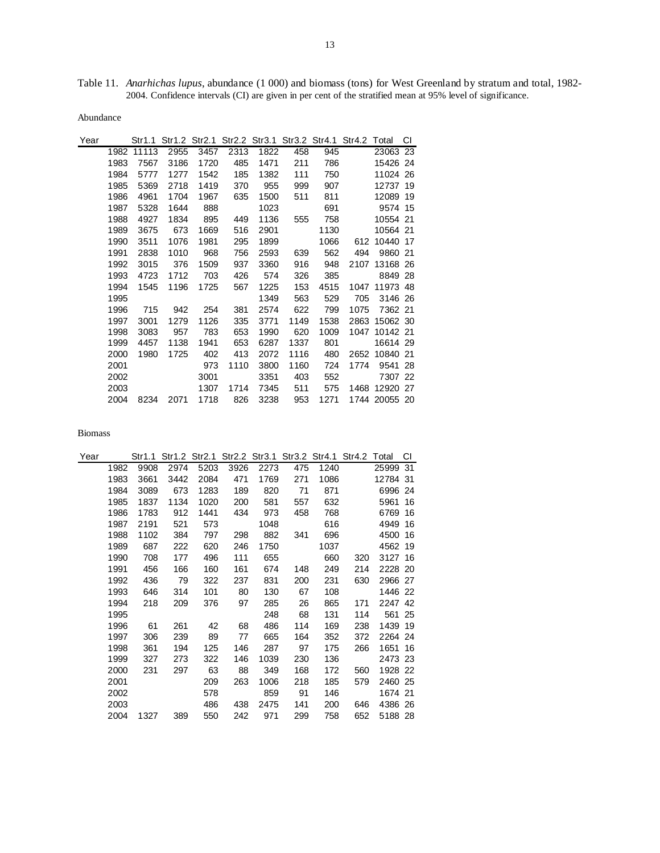Table 11. *Anarhichas lupus*, abundance (1 000) and biomass (tons) for West Greenland by stratum and total, 1982- 2004. Confidence intervals (CI) are given in per cent of the stratified mean at 95% level of significance.

Abundance

| Year |      | Str1.1 |      | Str1.2 Str2.1 |      |      |      | Str2.2 Str3.1 Str3.2 Str4.1 Str4.2 Total |      |               | СI |
|------|------|--------|------|---------------|------|------|------|------------------------------------------|------|---------------|----|
|      | 1982 | 11113  | 2955 | 3457          | 2313 | 1822 | 458  | 945                                      |      | 23063 23      |    |
|      | 1983 | 7567   | 3186 | 1720          | 485  | 1471 | 211  | 786                                      |      | 15426 24      |    |
|      | 1984 | 5777   | 1277 | 1542          | 185  | 1382 | 111  | 750                                      |      | 11024 26      |    |
|      | 1985 | 5369   | 2718 | 1419          | 370  | 955  | 999  | 907                                      |      | 12737 19      |    |
|      | 1986 | 4961   | 1704 | 1967          | 635  | 1500 | 511  | 811                                      |      | 12089 19      |    |
|      | 1987 | 5328   | 1644 | 888           |      | 1023 |      | 691                                      |      | 9574 15       |    |
|      | 1988 | 4927   | 1834 | 895           | 449  | 1136 | 555  | 758                                      |      | 10554 21      |    |
|      | 1989 | 3675   | 673  | 1669          | 516  | 2901 |      | 1130                                     |      | 10564 21      |    |
|      | 1990 | 3511   | 1076 | 1981          | 295  | 1899 |      | 1066                                     |      | 612 10440 17  |    |
|      | 1991 | 2838   | 1010 | 968           | 756  | 2593 | 639  | 562                                      | 494  | 9860 21       |    |
|      | 1992 | 3015   | 376  | 1509          | 937  | 3360 | 916  | 948                                      |      | 2107 13168 26 |    |
|      | 1993 | 4723   | 1712 | 703           | 426  | 574  | 326  | 385                                      |      | 8849 28       |    |
|      | 1994 | 1545   | 1196 | 1725          | 567  | 1225 | 153  | 4515                                     |      | 1047 11973 48 |    |
|      | 1995 |        |      |               |      | 1349 | 563  | 529                                      | 705  | 3146 26       |    |
|      | 1996 | 715    | 942  | 254           | 381  | 2574 | 622  | 799                                      | 1075 | 7362 21       |    |
|      | 1997 | 3001   | 1279 | 1126          | 335  | 3771 | 1149 | 1538                                     |      | 2863 15062 30 |    |
|      | 1998 | 3083   | 957  | 783           | 653  | 1990 | 620  | 1009                                     | 1047 | 10142 21      |    |
|      | 1999 | 4457   | 1138 | 1941          | 653  | 6287 | 1337 | 801                                      |      | 16614 29      |    |
|      | 2000 | 1980   | 1725 | 402           | 413  | 2072 | 1116 | 480                                      |      | 2652 10840 21 |    |
|      | 2001 |        |      | 973           | 1110 | 3800 | 1160 | 724                                      | 1774 | 9541 28       |    |
|      | 2002 |        |      | 3001          |      | 3351 | 403  | 552                                      |      | 7307 22       |    |
|      | 2003 |        |      | 1307          | 1714 | 7345 | 511  | 575                                      |      | 1468 12920 27 |    |
|      | 2004 | 8234   | 2071 | 1718          | 826  | 3238 | 953  | 1271                                     |      | 1744 20055 20 |    |

| Year |      | Str1.1 |      |      |      |      |     | Str1.2 Str2.1 Str2.2 Str3.1 Str3.2 Str4.1 Str4.2 Total |     |          | СI |
|------|------|--------|------|------|------|------|-----|--------------------------------------------------------|-----|----------|----|
|      | 1982 | 9908   | 2974 | 5203 | 3926 | 2273 | 475 | 1240                                                   |     | 25999 31 |    |
|      | 1983 | 3661   | 3442 | 2084 | 471  | 1769 | 271 | 1086                                                   |     | 12784 31 |    |
|      | 1984 | 3089   | 673  | 1283 | 189  | 820  | 71  | 871                                                    |     | 6996 24  |    |
|      | 1985 | 1837   | 1134 | 1020 | 200  | 581  | 557 | 632                                                    |     | 5961     | 16 |
|      | 1986 | 1783   | 912  | 1441 | 434  | 973  | 458 | 768                                                    |     | 6769     | 16 |
|      | 1987 | 2191   | 521  | 573  |      | 1048 |     | 616                                                    |     | 4949     | 16 |
|      | 1988 | 1102   | 384  | 797  | 298  | 882  | 341 | 696                                                    |     | 4500     | 16 |
|      | 1989 | 687    | 222  | 620  | 246  | 1750 |     | 1037                                                   |     | 4562 19  |    |
|      | 1990 | 708    | 177  | 496  | 111  | 655  |     | 660                                                    | 320 | 3127 16  |    |
|      | 1991 | 456    | 166  | 160  | 161  | 674  | 148 | 249                                                    | 214 | 2228 20  |    |
|      | 1992 | 436    | 79   | 322  | 237  | 831  | 200 | 231                                                    | 630 | 2966 27  |    |
|      | 1993 | 646    | 314  | 101  | 80   | 130  | 67  | 108                                                    |     | 1446 22  |    |
|      | 1994 | 218    | 209  | 376  | 97   | 285  | 26  | 865                                                    | 171 | 2247 42  |    |
|      | 1995 |        |      |      |      | 248  | 68  | 131                                                    | 114 | 561 25   |    |
|      | 1996 | 61     | 261  | 42   | 68   | 486  | 114 | 169                                                    | 238 | 1439 19  |    |
|      | 1997 | 306    | 239  | 89   | 77   | 665  | 164 | 352                                                    | 372 | 2264 24  |    |
|      | 1998 | 361    | 194  | 125  | 146  | 287  | 97  | 175                                                    | 266 | 1651 16  |    |
|      | 1999 | 327    | 273  | 322  | 146  | 1039 | 230 | 136                                                    |     | 2473 23  |    |
|      | 2000 | 231    | 297  | 63   | 88   | 349  | 168 | 172                                                    | 560 | 1928 22  |    |
|      | 2001 |        |      | 209  | 263  | 1006 | 218 | 185                                                    | 579 | 2460 25  |    |
|      | 2002 |        |      | 578  |      | 859  | 91  | 146                                                    |     | 1674 21  |    |
|      | 2003 |        |      | 486  | 438  | 2475 | 141 | 200                                                    | 646 | 4386 26  |    |
|      | 2004 | 1327   | 389  | 550  | 242  | 971  | 299 | 758                                                    | 652 | 5188 28  |    |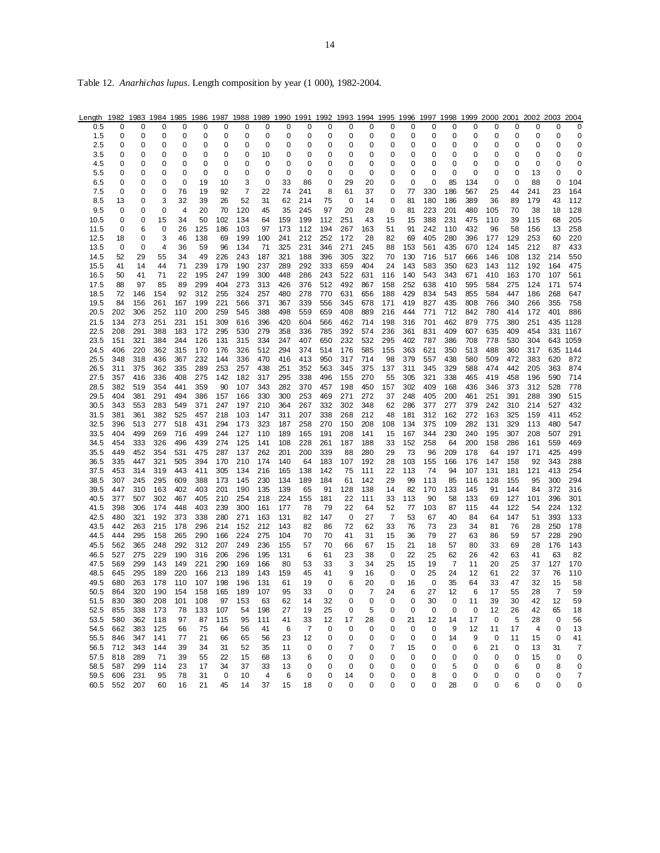| Length       | 1982       |            |            |            |            |            |            |            |            |            |            |            |            |                |            |            |            |            | 1983 1984 1985 1986 1987 1988 1989 1990 1991 1992 1993 1994 1995 1996 1997 1998 1999 2000 2001 2002 2003 2004 |            |            |            |             |
|--------------|------------|------------|------------|------------|------------|------------|------------|------------|------------|------------|------------|------------|------------|----------------|------------|------------|------------|------------|---------------------------------------------------------------------------------------------------------------|------------|------------|------------|-------------|
| 0.5          | 0          | 0          | 0          | 0          | 0          | 0          | 0          | 0          | 0          | 0          | 0          | 0          | 0          | 0              | 0          | 0          | 0          | 0          | 0                                                                                                             | 0          | 0          | 0          | 0           |
| 1.5          | 0          | 0          | 0          | 0          | 0          | 0          | 0          | 0          | 0          | 0          | 0          | 0          | 0          | 0              | 0          | 0          | 0          | 0          | 0                                                                                                             | 0          | 0          | 0          | 0           |
| 2.5          | 0          | 0          | 0          | 0          | 0          | 0          | 0          | 0          | 0          | 0          | 0          | 0          | 0          | 0              | 0          | 0          | 0          | 0          | 0                                                                                                             | 0          | 0          | 0          | 0           |
| 3.5          | 0          | 0          | 0          | 0          | 0          | 0          | 0          | 10         | 0          | 0          | 0          | 0          | 0          | 0              | 0          | 0          | 0          | 0          | 0                                                                                                             | 0          | 0          | 0          | 0           |
| 4.5          | 0          | 0          | 0          | 0          | 0          | 0          | 0          | 0          | 0          | 0          | 0          | 0          | 0          | 0              | 0          | 0          | 0          | 0          | 0                                                                                                             | 0          | 0          | 0          | 0           |
| 5.5          | 0          | 0          | 0          | 0          | 0          | 0          | 0          | 0          | 0          | 0          | 0          | 0          | 0          | 0              | 0          | 0          | 0          | 0          | 0                                                                                                             | 0          | 13         | 0          | 0           |
| 6.5          | 0          | 0          | 0          | 0          | 19         | 10         | 3          | 0          | 33         | 86         | 0          | 29         | 20         | 0              | 0          | 0          | 85         | 134        | 0                                                                                                             | 0          | 88         | 0          | 104         |
| 7.5          | 0          | 0          | 0          | 76         | 19         | 92         | 7          | 22         | 74         | 241        | 8          | 61         | 37         | 0              | 77         | 330        | 186        | 567        | 25                                                                                                            | 44         | 241        | 23         | 164         |
| 8.5          | 13         | 0          | 3          | 32         | 39         | 26         | 52         | 31         | 62         | 214        | 75         | 0          | 14         | 0              | 81         | 180        | 186        | 389        | 36                                                                                                            | 89         | 179        | 43         | 112         |
| 9.5          | 0          | 0          | 0          | 4          | 20         | 70         | 120        | 45         | 35         | 245        | 97         | 20         | 28         | 0              | 81         | 223        | 201        | 480        | 105                                                                                                           | 70         | 38         | 18         | 128         |
| 10.5<br>11.5 | 0<br>0     | 0<br>6     | 15<br>0    | 34<br>26   | 50<br>125  | 102<br>186 | 134<br>103 | 64<br>97   | 159<br>173 | 199<br>112 | 112<br>194 | 251<br>267 | 43<br>163  | 15<br>51       | 15<br>91   | 388<br>242 | 231<br>110 | 475<br>432 | 110<br>96                                                                                                     | 39<br>58   | 115<br>156 | 68<br>13   | 205<br>258  |
| 12.5         | 18         | 0          | 3          | 46         | 138        | 69         | 199        | 100        | 241        | 212        | 252        | 172        | 28         | 82             | 69         | 405        | 280        | 396        | 177                                                                                                           | 129        | 253        | 60         | 220         |
| 13.5         | 0          | 0          | 4          | 36         | 59         | 96         | 134        | 71         | 325        | 231        | 346        | 271        | 245        | 88             | 153        | 561        | 435        | 670        | 124                                                                                                           | 145        | 212        | 87         | 433         |
| 14.5         | 52         | 29         | 55         | 34         | 49         | 226        | 243        | 187        | 321        | 188        | 396        | 305        | 322        | 70             | 130        | 716        | 517        | 666        | 146                                                                                                           | 108        | 132        | 214        | 550         |
| 15.5         | 41         | 14         | 44         | 71         | 239        | 179        | 190        | 237        | 289        | 292        | 333        | 659        | 404        | 24             | 143        | 583        | 350        | 623        | 143                                                                                                           | 112        | 192        | 164        | 475         |
| 16.5         | 50         | 41         | 71         | 22         | 195        | 247        | 199        | 300        | 448        | 286        | 243        | 522        | 631        | 116            | 140        | 543        | 343        | 671        | 410                                                                                                           | 163        | 170        | 107        | 561         |
| 17.5         | 88         | 97         | 85         | 89         | 299        | 404        | 273        | 313        | 426        | 376        | 512        | 492        | 867        | 158            | 252        | 638        | 410        | 595        | 584                                                                                                           | 275        | 124        | 171        | 574         |
| 18.5         | 72         | 146        | 154        | 92         | 312        | 255        | 324        | 257        | 480        | 278        | 770        | 631        | 656        | 188            | 429        | 834        | 543        | 855        | 584                                                                                                           | 447        | 186        | 268        | 647         |
| 19.5         | 84         | 156        | 261        | 167        | 199        | 221        | 566        | 371        | 367        | 339        | 556        | 345        | 678        | 171            | 419        | 827        | 435        | 808        | 766                                                                                                           | 340        | 266        | 355        | 758         |
| 20.5         | 202        | 306        | 252        | 110        | 200        | 259        | 545        | 388        | 498        | 559        | 659        | 408        | 889        | 216            | 444        | 771        | 712        | 842        | 780                                                                                                           | 414        | 172        | 401        | 886         |
| 21.5         | 134        | 273        | 251        | 231        | 151        | 309        | 616        | 396        | 420        | 604        | 566        | 462        | 714        | 198            | 316        | 701        | 462        | 879        | 775                                                                                                           | 380        | 251        | 435        | 1128        |
| 22.5         | 208        | 291        | 388        | 183        | 172        | 295        | 530        | 279        | 358        | 336        | 785        | 392        | 574        | 236            | 361        | 831        | 409        | 607        | 635                                                                                                           | 409        | 454        | 331        | 1167        |
| 23.5         | 151        | 321        | 384        | 244        | 126        | 131        | 315        | 334        | 247        | 407        | 650        | 232        | 532        | 295            | 402        | 787        | 386        | 708        | 778                                                                                                           | 530        | 304        | 643        | 1059        |
| 24.5         | 406        | 220        | 362<br>436 | 315<br>367 | 170<br>232 | 176<br>144 | 326<br>336 | 512<br>470 | 294<br>416 | 374<br>413 | 514        | 176<br>317 | 585        | 155<br>98      | 363        | 621<br>557 | 350<br>438 | 513<br>580 | 488<br>509                                                                                                    | 360<br>472 | 317<br>383 | 635<br>620 | 1144<br>872 |
| 25.5<br>26.5 | 348<br>311 | 318<br>375 | 362        | 335        | 289        | 253        | 257        | 438        | 251        | 352        | 950<br>563 | 345        | 714<br>375 | 137            | 379<br>311 | 345        | 329        | 588        | 474                                                                                                           | 442        | 205        | 363        | 874         |
| 27.5         | 357        | 416        | 336        | 408        | 275        | 142        | 182        | 317        | 295        | 338        | 496        | 155        | 270        | 55             | 305        | 321        | 338        | 465        | 419                                                                                                           | 458        | 196        | 590        | 714         |
| 28.5         | 382        | 519        | 354        | 441        | 359        | 90         | 107        | 343        | 282        | 370        | 457        | 198        | 450        | 157            | 302        | 409        | 168        | 436        | 346                                                                                                           | 373        | 312        | 528        | 778         |
| 29.5         | 404        | 381        | 291        | 494        | 386        | 157        | 166        | 330        | 300        | 253        | 469        | 271        | 272        | 37             | 248        | 405        | 200        | 461        | 251                                                                                                           | 391        | 288        | 390        | 515         |
| 30.5         | 343        | 553        | 283        | 549        | 371        | 247        | 197        | 210        | 364        | 267        | 332        | 302        | 348        | 62             | 286        | 377        | 277        | 379        | 242                                                                                                           | 310        | 214        | 527        | 432         |
| 31.5         | 381        | 361        | 382        | 525        | 457        | 218        | 103        | 147        | 311        | 207        | 338        | 268        | 212        | 48             | 181        | 312        | 162        | 272        | 163                                                                                                           | 325        | 159        | 411        | 452         |
| 32.5         | 396        | 513        | 277        | 518        | 431        | 294        | 173        | 323        | 187        | 258        | 270        | 150        | 208        | 108            | 134        | 375        | 109        | 282        | 131                                                                                                           | 329        | 113        | 480        | 547         |
| 33.5         | 404        | 499        | 269        | 716        | 499        | 244        | 127        | 110        | 189        | 165        | 191        | 208        | 141        | 15             | 167        | 344        | 230        | 240        | 195                                                                                                           | 307        | 208        | 507        | 291         |
| 34.5         | 454        | 333        | 326        | 496        | 439        | 274        | 125        | 141        | 108        | 228        | 261        | 187        | 188        | 33             | 152        | 258        | 64         | 200        | 158                                                                                                           | 286        | 161        | 559        | 469         |
| 35.5         | 449        | 452        | 354        | 531        | 475        | 287        | 137        | 262        | 201        | 200        | 339        | 88         | 280        | 29             | 73         | 96         | 209        | 178        | 64                                                                                                            | 197        | 171        | 425        | 499         |
| 36.5         | 335        | 447        | 321        | 505        | 394        | 170        | 210        | 174        | 140        | 64         | 183        | 107        | 192        | 28             | 103        | 155        | 166        | 176        | 147                                                                                                           | 158        | 92         | 343        | 288         |
| 37.5         | 453        | 314        | 319        | 443        | 411        | 305        | 134        | 216        | 165        | 138        | 142        | 75         | 111        | 22             | 113        | 74         | 94         | 107        | 131                                                                                                           | 181        | 121        | 413        | 254         |
| 38.5<br>39.5 | 307<br>447 | 245<br>310 | 295<br>163 | 609<br>402 | 388<br>403 | 173<br>201 | 145<br>190 | 230<br>135 | 134<br>139 | 189<br>65  | 184<br>91  | 61<br>128  | 142<br>138 | 29<br>14       | 99<br>82   | 113<br>170 | 85<br>133  | 116<br>145 | 128<br>91                                                                                                     | 155<br>144 | 95<br>84   | 300<br>372 | 294<br>316  |
| 40.5         | 377        | 507        | 302        | 467        | 405        | 210        | 254        | 218        | 224        | 155        | 181        | 22         | 111        | 33             | 113        | 90         | 58         | 133        | 69                                                                                                            | 127        | 101        | 396        | 301         |
| 41.5         | 398        | 306        | 174        | 448        | 403        | 239        | 300        | 161        | 177        | 78         | 79         | 22         | 64         | 52             | 77         | 103        | 87         | 115        | 44                                                                                                            | 122        | 54         | 224        | 132         |
| 42.5         | 480        | 321        | 192        | 373        | 338        | 280        | 271        | 163        | 131        | 82         | 147        | 0          | 27         | $\overline{7}$ | 53         | 67         | 40         | 84         | 64                                                                                                            | 147        | 51         | 393        | 133         |
| 43.5         | 442        | 263        | 215        | 178        | 296        | 214        | 152        | 212        | 143        | 82         | 86         | 72         | 62         | 33             | 76         | 73         | 23         | 34         | 81                                                                                                            | 76         | 28         | 250        | 178         |
| 44.5         | 444        | 295        | 158        | 265        | 290        | 166        | 224        | 275        | 104        | 70         | 70         | 41         | 31         | 15             | 36         | 79         | 27         | 63         | 86                                                                                                            | 59         | 57         | 228        | 290         |
| 45.5         | 562        | 365        | 248        | 292        | 312        | 207        | 249        | 236        | 155        | 57         | 70         | 66         | 67         | 15             | 21         | 18         | 57         | 80         | 33                                                                                                            | 69         | 28         | 176        | 143         |
| 46.5         | 527        | 275        | 229        | 190        | 316        | 206        | 296        | 195        | 131        | 6          | 61         | 23         | 38         | 0              | 22         | 25         | 62         | 26         | 42                                                                                                            | 63         | 41         | 63         | 82          |
| 47.5         | 569        | 299        | 143        | 149        | 221        | 290        | 169        | 166        | 80         | 53         | 33         | 3          | 34         | 25             | 15         | 19         | 7          | 11         | 20                                                                                                            | 25         | 37         | 127        | 170         |
| 48.5         | 645        | 295        | 189        | 220        | 166        | 213        | 189        | 143        | 159        | 45         | 41         | 9          | 16         | 0              | 0          | 25         | 24         | 12         | 61                                                                                                            | 22         | 37         | 76         | 110         |
| 49.5         | 680        | 263        | 178        | 110        | 107        | 198        | 196        | 131        | 61         | 19         | 0          | 6          | 20         | 0              | 16         | 0          | 35         | 64         | 33                                                                                                            | 47         | 32         | 15         | 58          |
| 50.5         | 864        | 320        | 190        | 154        | 158        | 165        | 189        | 107        | 95         | 33         | 0          | 0          | 7          | 24             | 6          | 27         | 12         | 6          | 17                                                                                                            | 55         | 28         | 7          | 59          |
| 51.5         | 830        | 380        | 208        | 101        | 108        | 97         | 153        | 63         | 62         | 14         | 32         | 0          | 0          | 0              | 0          | 30         | 0          | 11         | 39                                                                                                            | 30         | 42         | 12         | 59          |
| 52.5<br>53.5 | 855<br>580 | 338<br>362 | 173<br>118 | 78<br>97   | 133        | 107        | 54<br>95   | 198<br>111 | 27<br>41   | 19<br>33   | 25<br>12   | 0<br>17    | 5          | 0<br>0         | 0<br>21    | 0<br>12    | 0<br>14    | 0<br>17    | 12<br>0                                                                                                       | 26<br>5    | 42<br>28   | 65<br>0    | 18<br>56    |
| 54.5         | 662        | 383        | 125        | 66         | 87<br>75   | 115<br>64  | 56         | 41         | 6          | 7          | 0          | 0          | 28<br>0    | 0              | 0          | 0          | 9          | 12         | 11                                                                                                            | 17         | 4          | 0          | 13          |
| 55.5         | 846        | 347        | 141        | 77         | 21         | 66         | 65         | 56         | 23         | 12         | 0          | 0          | 0          | 0              | 0          | 0          | 14         | 9          | 0                                                                                                             | 11         | 15         | 0          | 41          |
| 56.5         | 712        | 343        | 144        | 39         | 34         | 31         | 52         | 35         | 11         | 0          | 0          | 7          | 0          | 7              | 15         | 0          | 0          | 6          | 21                                                                                                            | 0          | 13         | 31         | 7           |
| 57.5         | 818        | 289        | 71         | 39         | 55         | 22         | 15         | 68         | 13         | 6          | 0          | 0          | 0          | 0              | 0          | 0          | 0          | 0          | 0                                                                                                             | 0          | 15         | 0          | 0           |
| 58.5         | 587        | 299        | 114        | 23         | 17         | 34         | 37         | 33         | 13         | 0          | 0          | 0          | 0          | 0              | 0          | 0          | 5          | 0          | 0                                                                                                             | 6          | 0          | 8          | 0           |
| 59.5         | 606        | 231        | 95         | 78         | 31         | 0          | 10         | 4          | 6          | 0          | 0          | 14         | 0          | 0              | 0          | 8          | 0          | 0          | 0                                                                                                             | 0          | 0          | 0          | 7           |
| 60.5         | 552        | 207        | 60         | 16         | 21         | 45         | 14         | 37         | 15         | 18         | 0          | 0          | 0          | 0              | 0          | 0          | 28         | 0          | 0                                                                                                             | 6          | 0          | 0          | 0           |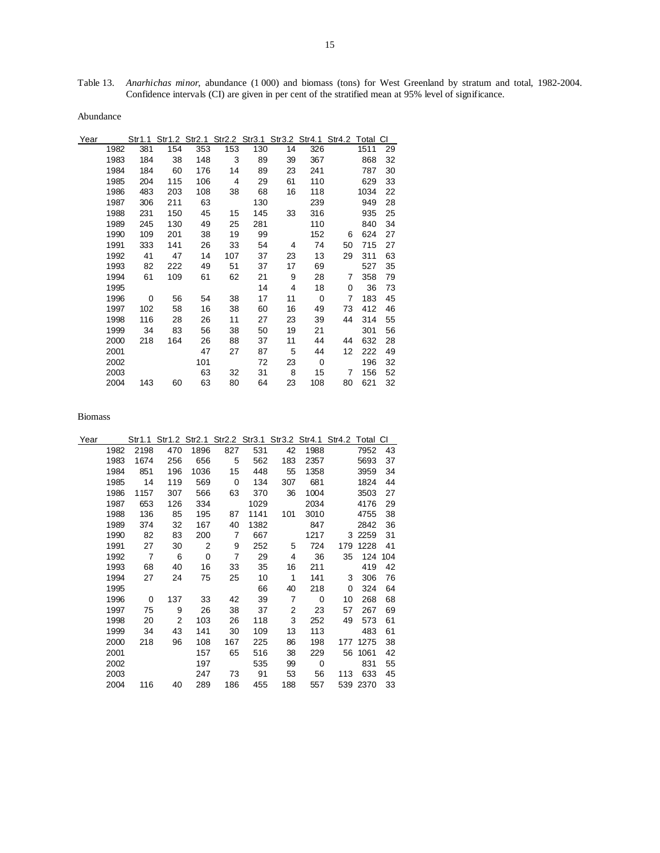Table 13. *Anarhichas minor*, abundance (1 000) and biomass (tons) for West Greenland by stratum and total, 1982-2004. Confidence intervals (CI) are given in per cent of the stratified mean at 95% level of significance.

Abundance

| Year |      | Str1.1 |     | Str1.2 Str2.1 |     |     |    | Str2.2 Str3.1 Str3.2 Str4.1 Str4.2 |    | Total | CI |
|------|------|--------|-----|---------------|-----|-----|----|------------------------------------|----|-------|----|
|      | 1982 | 381    | 154 | 353           | 153 | 130 | 14 | 326                                |    | 1511  | 29 |
|      | 1983 | 184    | 38  | 148           | 3   | 89  | 39 | 367                                |    | 868   | 32 |
|      | 1984 | 184    | 60  | 176           | 14  | 89  | 23 | 241                                |    | 787   | 30 |
|      | 1985 | 204    | 115 | 106           | 4   | 29  | 61 | 110                                |    | 629   | 33 |
|      | 1986 | 483    | 203 | 108           | 38  | 68  | 16 | 118                                |    | 1034  | 22 |
|      | 1987 | 306    | 211 | 63            |     | 130 |    | 239                                |    | 949   | 28 |
|      | 1988 | 231    | 150 | 45            | 15  | 145 | 33 | 316                                |    | 935   | 25 |
|      | 1989 | 245    | 130 | 49            | 25  | 281 |    | 110                                |    | 840   | 34 |
|      | 1990 | 109    | 201 | 38            | 19  | 99  |    | 152                                | 6  | 624   | 27 |
|      | 1991 | 333    | 141 | 26            | 33  | 54  | 4  | 74                                 | 50 | 715   | 27 |
|      | 1992 | 41     | 47  | 14            | 107 | 37  | 23 | 13                                 | 29 | 311   | 63 |
|      | 1993 | 82     | 222 | 49            | 51  | 37  | 17 | 69                                 |    | 527   | 35 |
|      | 1994 | 61     | 109 | 61            | 62  | 21  | 9  | 28                                 | 7  | 358   | 79 |
|      | 1995 |        |     |               |     | 14  | 4  | 18                                 | 0  | 36    | 73 |
|      | 1996 | 0      | 56  | 54            | 38  | 17  | 11 | $\Omega$                           | 7  | 183   | 45 |
|      | 1997 | 102    | 58  | 16            | 38  | 60  | 16 | 49                                 | 73 | 412   | 46 |
|      | 1998 | 116    | 28  | 26            | 11  | 27  | 23 | 39                                 | 44 | 314   | 55 |
|      | 1999 | 34     | 83  | 56            | 38  | 50  | 19 | 21                                 |    | 301   | 56 |
|      | 2000 | 218    | 164 | 26            | 88  | 37  | 11 | 44                                 | 44 | 632   | 28 |
|      | 2001 |        |     | 47            | 27  | 87  | 5  | 44                                 | 12 | 222   | 49 |
|      | 2002 |        |     | 101           |     | 72  | 23 | $\mathbf 0$                        |    | 196   | 32 |
|      | 2003 |        |     | 63            | 32  | 31  | 8  | 15                                 | 7  | 156   | 52 |
|      | 2004 | 143    | 60  | 63            | 80  | 64  | 23 | 108                                | 80 | 621   | 32 |

| Year |      | Str1.1         |     | Str1.2 Str2.1 |                |      |     | Str2.2 Str3.1 Str3.2 Str4.1 Str4.2 Total CI |     |           |     |
|------|------|----------------|-----|---------------|----------------|------|-----|---------------------------------------------|-----|-----------|-----|
|      | 1982 | 2198           | 470 | 1896          | 827            | 531  | 42  | 1988                                        |     | 7952      | 43  |
|      | 1983 | 1674           | 256 | 656           | 5              | 562  | 183 | 2357                                        |     | 5693      | 37  |
|      | 1984 | 851            | 196 | 1036          | 15             | 448  | 55  | 1358                                        |     | 3959      | 34  |
|      | 1985 | 14             | 119 | 569           | $\mathbf 0$    | 134  | 307 | 681                                         |     | 1824      | 44  |
|      | 1986 | 1157           | 307 | 566           | 63             | 370  | 36  | 1004                                        |     | 3503      | 27  |
|      | 1987 | 653            | 126 | 334           |                | 1029 |     | 2034                                        |     | 4176      | 29  |
|      | 1988 | 136            | 85  | 195           | 87             | 1141 | 101 | 3010                                        |     | 4755      | 38  |
|      | 1989 | 374            | 32  | 167           | 40             | 1382 |     | 847                                         |     | 2842      | 36  |
|      | 1990 | 82             | 83  | 200           | 7              | 667  |     | 1217                                        |     | 3 2 2 5 9 | 31  |
|      | 1991 | 27             | 30  | 2             | 9              | 252  | 5   | 724                                         | 179 | 1228      | 41  |
|      | 1992 | $\overline{7}$ | 6   | 0             | $\overline{7}$ | 29   | 4   | 36                                          | 35  | 124       | 104 |
|      | 1993 | 68             | 40  | 16            | 33             | 35   | 16  | 211                                         |     | 419       | 42  |
|      | 1994 | 27             | 24  | 75            | 25             | 10   | 1   | 141                                         | 3   | 306       | 76  |
|      | 1995 |                |     |               |                | 66   | 40  | 218                                         | 0   | 324       | 64  |
|      | 1996 | 0              | 137 | 33            | 42             | 39   | 7   | 0                                           | 10  | 268       | 68  |
|      | 1997 | 75             | 9   | 26            | 38             | 37   | 2   | 23                                          | 57  | 267       | 69  |
|      | 1998 | 20             | 2   | 103           | 26             | 118  | 3   | 252                                         | 49  | 573       | 61  |
|      | 1999 | 34             | 43  | 141           | 30             | 109  | 13  | 113                                         |     | 483       | 61  |
|      | 2000 | 218            | 96  | 108           | 167            | 225  | 86  | 198                                         |     | 177 1275  | 38  |
|      | 2001 |                |     | 157           | 65             | 516  | 38  | 229                                         | 56  | 1061      | 42  |
|      | 2002 |                |     | 197           |                | 535  | 99  | 0                                           |     | 831       | 55  |
|      | 2003 |                |     | 247           | 73             | 91   | 53  | 56                                          | 113 | 633       | 45  |
|      | 2004 | 116            | 40  | 289           | 186            | 455  | 188 | 557                                         |     | 539 2370  | 33  |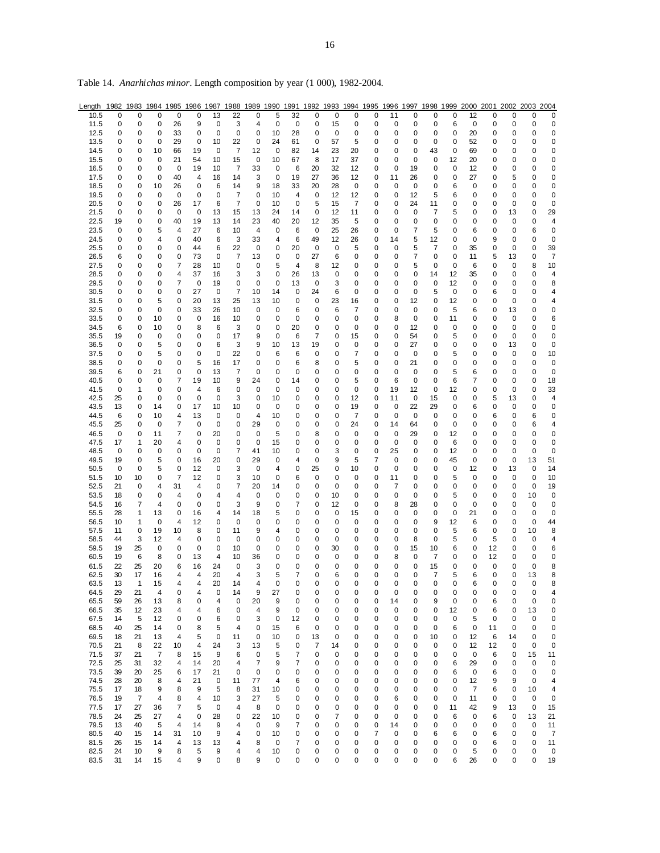| Length 1982 1983 1984 1985 1986 1987 1988 1989 1990 1991 1992 1993 1994 1995 1996 1997 1998 1999 2000 2001 2002 2003 2004 |          |          |          |        |         |          |                |                |          |         |         |        |         |        |          |         |         |         |             |         |         |         |         |
|---------------------------------------------------------------------------------------------------------------------------|----------|----------|----------|--------|---------|----------|----------------|----------------|----------|---------|---------|--------|---------|--------|----------|---------|---------|---------|-------------|---------|---------|---------|---------|
| 10.5                                                                                                                      | 0        | 0        | 0        | 0      | 0       | 13       | 22             | 0              | 5        | 32      | 0       | 0      | 0       | 0      | 11       | 0       | 0       | 0       | 12          | 0       | 0       | 0       | 0       |
| 11.5                                                                                                                      | 0        | 0        | 0        | 26     | 9       | 0        | 3              | 4              | 0        | 0       | 0       | 15     | 0       | 0      | 0        | 0       | 0       | 6       | 0           | 0       | 0       | 0       | 0       |
| 12.5                                                                                                                      | 0        | 0        | 0        | 33     | 0       | 0        | 0              | 0              | 10       | 28      | 0       | 0      | 0       | 0      | 0        | 0       | 0       | 0       | 20          | 0       | 0       | 0       | 0       |
| 13.5                                                                                                                      | 0        | 0        | 0        | 29     | 0       | 10       | 22             | 0              | 24       | 61      | 0       | 57     | 5       | 0      | 0        | 0       | 0       | 0       | 52          | 0       | 0       | 0       | 0       |
| 14.5                                                                                                                      | 0        | 0        | 10       | 66     | 19      | 0        | $\overline{7}$ | 12             | 0        | 82      | 14      | 23     | 20      | 0      | 0        | 0       | 43      | 0       | 69          | 0       | 0       | 0       | 0       |
| 15.5                                                                                                                      | 0        | 0        | 0        | 21     | 54      | 10       | 15             | 0              | 10       | 67      | 8       | 17     | 37      | 0      | 0        | 0       | 0       | 12      | 20          | 0       | 0       | 0       | 0       |
| 16.5                                                                                                                      | 0        | 0        | 0        | 0      | 19      | 10       | 7              | 33             | 0        | 6       | 20      | 32     | 12      | 0      | 0        | 19      | 0       | 0       | 12          | 0       | 0       | 0       | 0       |
| 17.5                                                                                                                      | 0        | 0        | 0        | 40     | 4       | 16       | 14             | 3              | 0        | 19      | 27      | 36     | 12      | 0      | 11       | 26      | 0       | 0       | 27          | 0       | 5       | 0       | 0       |
| 18.5                                                                                                                      | 0        | 0        | 10       | 26     | 0       | 6        | 14             | 9              | 18       | 33      | 20      | 28     | 0       | 0      | 0        | 0       | 0       | 6       | 0           | 0       | 0       | 0       | 0       |
| 19.5                                                                                                                      | 0        | 0        | 0        | 0      | 0       | 0        | 7              | 0              | 10       | 4       | 0       | 12     | 12      | 0      | 0        | 12      | 5       | 6       | 0           | 0       | 0       | 0       | 0       |
| 20.5                                                                                                                      | 0        | 0        | 0        | 26     | 17      | 6        | 7              | 0              | 10       | 0       | 5       | 15     | 7       | 0      | 0        | 24      | 11      | 0       | 0           | 0       | 0       | 0       | 0       |
| 21.5                                                                                                                      | 0        | 0        | 0        | 0      | 0       | 13       | 15             | 13             | 24       | 14      | 0       | 12     | 11      | 0      | 0        | 0       | 7       | 5       | 0           | 0       | 13      | 0       | 29      |
| 22.5                                                                                                                      | 19       | 0        | 0        | 40     | 19      | 13       | 14             | 23             | 40       | 20      | 12      | 35     | 5       | 0      | 0        | 0       | 0       | 0       | 0           | 0       | 0       | 0       | 4       |
| 23.5                                                                                                                      | 0        | 0        | 5        | 4      | 27      | 6        | 10             | 4              | 0        | 6       | 0       | 25     | 26      | 0      | 0        | 7       | 5       | 0       | 6           | 0       | 0       | 6       | 0       |
| 24.5                                                                                                                      | 0        | 0        | 4        | 0      | 40      | 6        | 3              | 33             | 4        | 6       | 49      | 12     | 26      | 0      | 14       | 5       | 12      | 0       | 0           | 9       | 0       | 0       | 0       |
| 25.5                                                                                                                      | 0        | 0        | 0        | 0      | 44      | 6        | 22             | 0              | 0        | 20      | 0       | 0      | 5       | 0      | 0        | 5       | 7       | 0       | 35          | 0       | 0       | 0       | 39      |
| 26.5                                                                                                                      | 6        | 0        | 0        | 0      | 73      | 0        | 7              | 13             | 0        | 0       | 27      | 6      | 0       | 0      | 0        | 7       | 0       | 0       | 11          | 5       | 13      | 0       | 7       |
| 27.5                                                                                                                      | 0        | 0        | 0        | 7      | 28      | 10       | 0              | 0              | 5        | 4       | 8       | 12     | 0       | 0      | 0        | 5       | 0       | 0       | 6           | 0       | 0       | 8       | 10      |
| 28.5                                                                                                                      | 0        | 0        | 0        | 4      | 37      | 16       | 3              | 3              | 0        | 26      | 13      | 0      | 0       | 0      | 0        | 0       | 14      | 12      | 35          | 0       | 0       | 0       | 4       |
| 29.5                                                                                                                      | 0        | 0        | 0        | 7      | 0       | 19       | 0              | 0              | 0        | 13      | 0       | 3      | 0       | 0      | 0        | 0       | 0       | 12      | 0           | 0       | 0       | 0       | 8       |
| 30.5                                                                                                                      | 0        | 0        | 0        | 0      | 27      | 0        | 7              | 10             | 14       | 0       | 24      | 6      | 0       | 0      | 0        | 0       | 5       | 0       | 0           | 6       | 0       | 0       | 4       |
| 31.5                                                                                                                      | 0        | 0        | 5        | 0      | 20      | 13       | 25             | 13             | 10       | 0       | 0       | 23     | 16      | 0      | 0        | 12      | 0       | 12      | 0           | 0       | 0       | 0       | 4       |
| 32.5                                                                                                                      | 0        | 0        | 0        | 0      | 33      | 26       | 10             | 0              | 0        | 6       | 0       | 6      | 7       | 0      | 0        | 0       | 0       | 5       | 6           | 0       | 13      | 0       | 0       |
| 33.5                                                                                                                      | 0        | 0        | 10       | 0      | 0       | 16       | 10             | 0              | 0        | 0       | 0       | 0      | 0       | 0      | 8        | 0       | 0       | 11      | 0           | 0       | 0       | 0       | 6       |
| 34.5                                                                                                                      | 6        | 0        | 10       | 0      | 8       | 6        | 3              | 0              | 0        | 20      | 0       | 0      | 0       | 0      | 0        | 12      | 0       | 0       | 0           | 0       | 0       | 0       | 0       |
| 35.5                                                                                                                      | 19       | 0        | 0        | 0      | 0       | 0        | 17             | 9              | 0        | 6       | 7       | 0      | 15      | 0      | 0        | 54      | 0       | 5       | 0           | 0       | 0       | 0       | 0       |
| 36.5                                                                                                                      | 0        | 0        | 5        | 0      | 0       | 6        | 3              | 9              | 10       | 13      | 19      | 0      | 0       | 0      | 0        | 27      | 0       | 0       | 0           | 0       | 13      | 0       | 0       |
| 37.5                                                                                                                      | 0        | 0        | 5        | 0      | 0       | 0        | 22             | 0              | 6        | 6       | 0       | 0      | 7       | 0      | 0        | 0       | 0       | 5       | 0           | 0       | 0       | 0       | 10      |
| 38.5                                                                                                                      | 0        | 0        | 0        | 0      | 5       | 16       | 17             | 0              | 0        | 6       | 8       | 0      | 5       | 0      | 0        | 21      | 0       | 0       | 0           | 0       | 0       | 0       | 0       |
| 39.5                                                                                                                      | 6<br>0   | 0        | 21       | 0      | 0<br>19 | 13<br>10 | 7              | 0              | 0        | 0<br>14 | 0       | 0<br>0 | 0<br>5  | 0<br>0 | 0        | 0<br>0  | 0       | 5<br>6  | 6<br>7      | 0<br>0  | 0<br>0  | 0       | 0       |
| 40.5                                                                                                                      |          | 0        | 0        | 7      |         |          | 9              | 24             | 0        |         | 0       |        |         |        | 6        |         | 0       |         |             |         |         | 0       | 18      |
| 41.5<br>42.5                                                                                                              | 0<br>25  | 1<br>0   | 0<br>0   | 0<br>0 | 4<br>0  | 6<br>0   | 0<br>3         | 0<br>0         | 0<br>10  | 0<br>0  | 0<br>0  | 0<br>0 | 0<br>12 | 0<br>0 | 19<br>11 | 12<br>0 | 0<br>15 | 12<br>0 | 0<br>0      | 0<br>5  | 0<br>13 | 0<br>0  | 33<br>4 |
| 43.5                                                                                                                      | 13       | 0        | 14       | 0      | 17      | 10       | 10             | 0              | 0        | 0       | 0       | 0      | 19      | 0      | 0        | 22      | 29      | 0       | 6           | 0       | 0       | 0       | 0       |
| 44.5                                                                                                                      | 6        | 0        | 10       | 4      | 13      | 0        | 0              | $\overline{4}$ | 10       | 0       | 0       | 0      | 7       | 0      | 0        | 0       | 0       | 0       | 0           | 6       | 0       | 6       | 0       |
| 45.5                                                                                                                      | 25       | 0        | 0        | 7      | 0       | 0        | 0              | 29             | 0        | 0       | 0       | 0      | 24      | 0      | 14       | 64      | 0       | 0       | 0           | 0       | 0       | 6       | 4       |
| 46.5                                                                                                                      | 0        | 0        | 11       | 7      | 0       | 20       | 0              | 0              | 5        | 0       | 8       | 0      | 0       | 0      | 0        | 29      | 0       | 12      | 0           | 0       | 0       | 0       | 0       |
| 47.5                                                                                                                      | 17       | 1        | 20       | 4      | 0       | 0        | 0              | 0              | 15       | 0       | 0       | 0      | 0       | 0      | 0        | 0       | 0       | 6       | 0           | 0       | 0       | 0       | 0       |
| 48.5                                                                                                                      | 0        | 0        | 0        | 0      | 0       | 0        | 7              | 41             | 10       | 0       | 0       | 3      | 0       | 0      | 25       | 0       | 0       | 12      | 0           | 0       | 0       | 0       | 0       |
| 49.5                                                                                                                      | 19       | 0        | 5        | 0      | 16      | 20       | 0              | 29             | 0        | 4       | 0       | 9      | 5       | 7      | 0        | 0       | 0       | 45      | 0           | 0       | 0       | 13      | 51      |
| 50.5                                                                                                                      | 0        | 0        | 5        | 0      | 12      | 0        | 3              | 0              | 4        | 0       | 25      | 0      | 10      | 0      | 0        | 0       | 0       | 0       | 12          | 0       | 13      | 0       | 14      |
| 51.5                                                                                                                      | 10       | 10       | 0        | 7      | 12      | 0        | 3              | 10             | 0        | 6       | 0       | 0      | 0       | 0      | 11       | 0       | 0       | 5       | 0           | 0       | 0       | 0       | 10      |
| 52.5                                                                                                                      | 21       | 0        | 4        | 31     | 4       | 0        | 7              | 20             | 14       | 0       | 0       | 0      | 0       | 0      | 7        | 0       | 0       | 0       | 0           | 0       | 0       | 0       | 19      |
| 53.5                                                                                                                      | 18       | 0        | 0        | 4      | 0       | 4        | 4              | 0              | 0        | 0       | 0       | 10     | 0       | 0      | 0        | 0       | 0       | 5       | 0           | 0       | 0       | 10      | 0       |
| 54.5                                                                                                                      | 16       | 7        | 4        | 0      | 0       | 0        | 3              | 9              | 0        | 7       | 0       | 12     | 0       | 0      | 8        | 28      | 0       | 0       | 0           | 0       | 0       | 0       | 0       |
| 55.5                                                                                                                      | 28       | 1        | 13       | 0      | 16      | 4        | 14             | 18             | 5        | 0       | 0       | 0      | 15      | 0      | 0        | 0       | 0       | 0       | 21          | 0       | 0       | 0       | 0       |
| 56.5                                                                                                                      | 10       | 1        | 0        | 4      | 12      | 0        | 0              | 0              | 0        | 0       | 0       | 0      | 0       | 0      | 0        | 0       | 9       | 12      | 6           | 0       | 0       | 0       | 44      |
| 57.5                                                                                                                      | 11       | 0        | 19       | 10     | 8       | 0        | 11             | 9              | 4        | 0       | 0       | 0      | 0       | 0      | 0        | 0       | 0       | 5       | 6           | 0       | 0       | 10      | 8       |
| 58.5                                                                                                                      | 44       | 3        | 12       | 4      | 0       | 0        | 0              | 0              | 0        | 0       | 0       | 0      | 0       | 0      | 0        | 8       | 0       | 5       | 0           | 5       | 0       | 0       | 4       |
| 59.5                                                                                                                      | 19       | 25       | 0        | 0      | 0       | 0        | 10             | 0              | 0        | 0       | 0       | 30     | 0       | 0      | 0        | 15      | 10      | 6       | 0           | 12      | 0       | 0       | 6       |
| 60.5                                                                                                                      | 19       | 6        | 8        | 0      | 13      | 4        | 10             | 36             | 0        | 0       | 0       | 0      | 0       | 0      | 8        | 0       | 7       | 0       | 0           | 12      | 0       | 0       | 0       |
| 61.5                                                                                                                      | 22       | 25       | 20       | 6      | 16      | 24       | 0              | 3              | 0        | 0       | 0       | 0      | 0       | 0      | 0        | 0       | 15      | 0       | 0           | 0       | 0       | 0       | 8       |
| 62.5                                                                                                                      | 30       | 17       | 16       | 4      | 4       | 20       | 4              | 3              | 5        | 7       | 0       | 6      | 0       | 0      | 0        | 0       | 7       | 5       | 6           | 0       | 0       | 13      | 8       |
| 63.5                                                                                                                      | 13       | 1        | 15       | 4      | 4       | 20       | 14             | 4              | 0        | 0       | 0       | 0      | 0       | 0      | 0        | 0       | 0       | 0       | 6           | 0       | 0       | 0       | 8       |
| 64.5                                                                                                                      | 29       | 21       | 4        | 0      | 4       | 0        | 14             | 9              | 27       | 0       | 0       | 0      | 0       | 0      | 0        | 0       | 0       | 0       | 0           | 0       | 0       | 0       | 4       |
| 65.5                                                                                                                      | 59       | 26       | 13       | 8<br>4 | 0       | 4        | 0              | 20             | 9<br>9   | 0       | 0       | 0      | 0       | 0      | 14       | 0       | 9       | 0       | 0<br>0      | 6       | 0       | 0       | 0       |
| 66.5                                                                                                                      | 35       | 12       | 23<br>12 |        | 4       | 6        | 0<br>0         | 4<br>3         | 0        | 0<br>12 | 0       | 0      | 0       | 0      | 0        | 0       | 0       | 12      |             | 6<br>0  | 0       | 13<br>0 | 0       |
| 67.5                                                                                                                      | 14       | 5        |          | 0      | 0       | 6        | 4              |                |          |         | 0       | 0      | 0       | 0      | 0        | 0       | 0       | 0<br>6  | 5           |         | 0       |         | 0       |
| 68.5<br>69.5                                                                                                              | 40       | 25<br>21 | 14       | 0<br>4 | 8<br>5  | 5<br>0   | 11             | 0<br>0         | 15<br>10 | 6<br>0  | 0<br>13 | 0<br>0 | 0<br>0  | 0<br>0 | 0<br>0   | 0<br>0  | 0<br>10 | 0       | 0<br>12     | 11<br>6 | 0<br>14 | 0<br>0  | 0<br>0  |
| 70.5                                                                                                                      | 18<br>21 | 8        | 13<br>22 | 10     | 4       | 24       | 3              | 13             | 5        | 0       | 7       | 14     | 0       | 0      | 0        | 0       | 0       | 0       | 12          | 12      | 0       | 0       | 0       |
| 71.5                                                                                                                      | 37       | 21       | 7        | 8      | 15      | 9        | 6              | 0              | 5        | 7       | 0       | 0      | 0       | 0      | 0        | 0       | 0       | 0       | 0           | 6       | 0       | 15      | 11      |
| 72.5                                                                                                                      | 25       | 31       | 32       | 4      | 14      | 20       | 4              | 7              | 9        | 7       | 0       | 0      | 0       | 0      | 0        | 0       | 0       | 6       | 29          | 0       | 0       | 0       | 0       |
| 73.5                                                                                                                      | 39       | 20       | 25       | 6      | 17      | 21       | 0              | $\mathbf 0$    | 0        | 0       | 0       | 0      | 0       | 0      | 0        | 0       | 0       | 6       | $\mathbf 0$ | 6       | 0       | 0       | 0       |
| 74.5                                                                                                                      | 28       | 20       | 8        | 4      | 21      | 0        | 11             | 77             | 4        | 6       | 0       | 0      | 0       | 0      | 0        | 0       | 0       | 0       | 12          | 9       | 9       | 0       | 4       |
| 75.5                                                                                                                      | 17       | 18       | 9        | 8      | 9       | 5        | 8              | 31             | 10       | 0       | 0       | 0      | 0       | 0      | 0        | 0       | 0       | 0       | 7           | 6       | 0       | 10      | 4       |
| 76.5                                                                                                                      | 19       | 7        | 4        | 8      | 4       | 10       | 3              | 27             | 5        | 0       | 0       | 0      | 0       | 0      | 6        | 0       | 0       | 0       | 11          | 0       | 0       | 0       | 0       |
| 77.5                                                                                                                      | 17       | 27       | 36       | 7      | 5       | 0        | 4              | 8              | 0        | 0       | 0       | 0      | 0       | 0      | 0        | 0       | 0       | 11      | 42          | 9       | 13      | 0       | 15      |
| 78.5                                                                                                                      | 24       | 25       | 27       | 4      | 0       | 28       | 0              | 22             | 10       | 0       | 0       | 7      | 0       | 0      | 0        | 0       | 0       | 6       | 0           | 6       | 0       | 13      | 21      |
| 79.5                                                                                                                      | 13       | 40       | 5        | 4      | 14      | 9        | 4              | 0              | 9        | 7       | 0       | 0      | 0       | 0      | 14       | 0       | 0       | 0       | 0           | 0       | 0       | 0       | 11      |
| 80.5                                                                                                                      | 40       | 15       | 14       | 31     | 10      | 9        | 4              | 0              | 10       | 0       | 0       | 0      | 0       | 7      | 0        | 0       | 6       | 6       | 0           | 6       | 0       | 0       | 7       |
| 81.5                                                                                                                      | 26       | 15       | 14       | 4      | 13      | 13       | 4              | 8              | 0        | 7       | 0       | 0      | 0       | 0      | 0        | 0       | 0       | 0       | 0           | 6       | 0       | 0       | 11      |
| 82.5                                                                                                                      | 24       | 10       | 9        | 8      | 5       | 9        | 4              | 4              | 10       | 0       | 0       | 0      | 0       | 0      | 0        | 0       | 0       | 0       | 5           | 0       | 0       | 0       | 0       |
| 83.5                                                                                                                      | 31       | 14       | 15       | 4      | 9       | 0        | 8              | 9              | 0        | 0       | 0       | 0      | 0       | 0      | 0        | 0       | 0       | 6       | 26          | 0       | 0       | 0       | 19      |

Table 14. *Anarhichas minor*. Length composition by year (1 000), 1982-2004.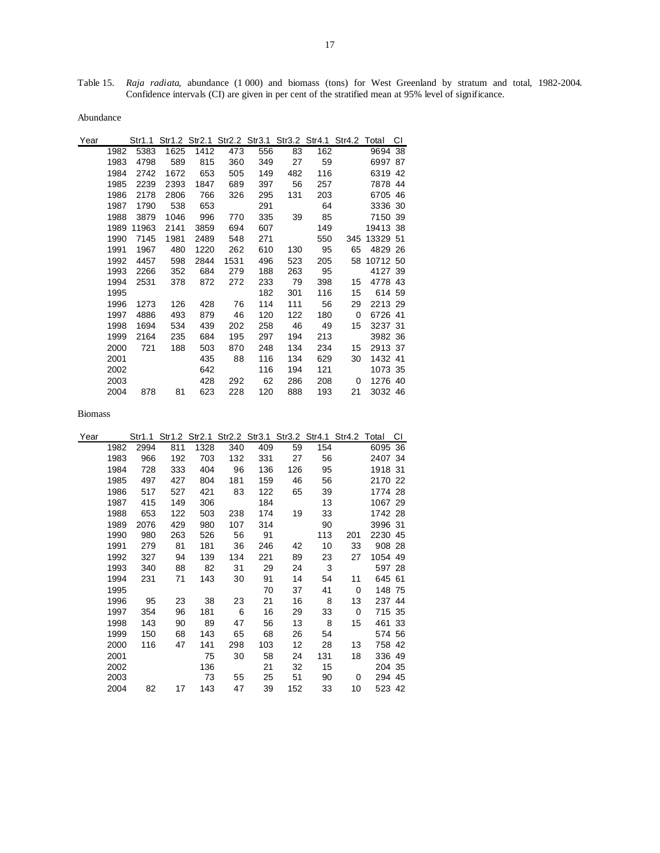Table 15. *Raja radiata*, abundance (1 000) and biomass (tons) for West Greenland by stratum and total, 1982-2004. Confidence intervals (CI) are given in per cent of the stratified mean at 95% level of significance.

Abundance

| Year |      | Str1.1 |      |      | Str1.2 Str2.1 Str2.2 Str3.1 Str3.2 Str4.1 |     |     |     | Str4.2 Total |             | СI |
|------|------|--------|------|------|-------------------------------------------|-----|-----|-----|--------------|-------------|----|
|      | 1982 | 5383   | 1625 | 1412 | 473                                       | 556 | 83  | 162 |              | 9694 38     |    |
|      | 1983 | 4798   | 589  | 815  | 360                                       | 349 | 27  | 59  |              | 6997 87     |    |
|      | 1984 | 2742   | 1672 | 653  | 505                                       | 149 | 482 | 116 |              | 6319 42     |    |
|      | 1985 | 2239   | 2393 | 1847 | 689                                       | 397 | 56  | 257 |              | 7878 44     |    |
|      | 1986 | 2178   | 2806 | 766  | 326                                       | 295 | 131 | 203 |              | 6705 46     |    |
|      | 1987 | 1790   | 538  | 653  |                                           | 291 |     | 64  |              | 3336 30     |    |
|      | 1988 | 3879   | 1046 | 996  | 770                                       | 335 | 39  | 85  |              | 7150 39     |    |
|      | 1989 | 11963  | 2141 | 3859 | 694                                       | 607 |     | 149 |              | 19413 38    |    |
|      | 1990 | 7145   | 1981 | 2489 | 548                                       | 271 |     | 550 | 345          | 13329 51    |    |
|      | 1991 | 1967   | 480  | 1220 | 262                                       | 610 | 130 | 95  | 65           | 4829 26     |    |
|      | 1992 | 4457   | 598  | 2844 | 1531                                      | 496 | 523 | 205 |              | 58 10712 50 |    |
|      | 1993 | 2266   | 352  | 684  | 279                                       | 188 | 263 | 95  |              | 4127 39     |    |
|      | 1994 | 2531   | 378  | 872  | 272                                       | 233 | 79  | 398 | 15           | 4778 43     |    |
|      | 1995 |        |      |      |                                           | 182 | 301 | 116 | 15           | 614 59      |    |
|      | 1996 | 1273   | 126  | 428  | 76                                        | 114 | 111 | 56  | 29           | 2213 29     |    |
|      | 1997 | 4886   | 493  | 879  | 46                                        | 120 | 122 | 180 | 0            | 6726 41     |    |
|      | 1998 | 1694   | 534  | 439  | 202                                       | 258 | 46  | 49  | 15           | 3237 31     |    |
|      | 1999 | 2164   | 235  | 684  | 195                                       | 297 | 194 | 213 |              | 3982 36     |    |
|      | 2000 | 721    | 188  | 503  | 870                                       | 248 | 134 | 234 | 15           | 2913 37     |    |
|      | 2001 |        |      | 435  | 88                                        | 116 | 134 | 629 | 30           | 1432 41     |    |
|      | 2002 |        |      | 642  |                                           | 116 | 194 | 121 |              | 1073 35     |    |
|      | 2003 |        |      | 428  | 292                                       | 62  | 286 | 208 | 0            | 1276 40     |    |
|      | 2004 | 878    | 81   | 623  | 228                                       | 120 | 888 | 193 | 21           | 3032 46     |    |

| Year |      |      |     |      | Str1.1 Str1.2 Str2.1 Str2.2 Str3.1 Str3.2 Str4.1 Str4.2 Total |     |     |     |     |         | СI |
|------|------|------|-----|------|---------------------------------------------------------------|-----|-----|-----|-----|---------|----|
|      | 1982 | 2994 | 811 | 1328 | 340                                                           | 409 | 59  | 154 |     | 6095 36 |    |
|      | 1983 | 966  | 192 | 703  | 132                                                           | 331 | 27  | 56  |     | 2407 34 |    |
|      | 1984 | 728  | 333 | 404  | 96                                                            | 136 | 126 | 95  |     | 1918 31 |    |
|      | 1985 | 497  | 427 | 804  | 181                                                           | 159 | 46  | 56  |     | 2170 22 |    |
|      | 1986 | 517  | 527 | 421  | 83                                                            | 122 | 65  | 39  |     | 1774 28 |    |
|      | 1987 | 415  | 149 | 306  |                                                               | 184 |     | 13  |     | 1067 29 |    |
|      | 1988 | 653  | 122 | 503  | 238                                                           | 174 | 19  | 33  |     | 1742 28 |    |
|      | 1989 | 2076 | 429 | 980  | 107                                                           | 314 |     | 90  |     | 3996 31 |    |
|      | 1990 | 980  | 263 | 526  | 56                                                            | 91  |     | 113 | 201 | 2230 45 |    |
|      | 1991 | 279  | 81  | 181  | 36                                                            | 246 | 42  | 10  | 33  | 908 28  |    |
|      | 1992 | 327  | 94  | 139  | 134                                                           | 221 | 89  | 23  | 27  | 1054 49 |    |
|      | 1993 | 340  | 88  | 82   | 31                                                            | 29  | 24  | 3   |     | 597 28  |    |
|      | 1994 | 231  | 71  | 143  | 30                                                            | 91  | 14  | 54  | 11  | 645 61  |    |
|      | 1995 |      |     |      |                                                               | 70  | 37  | 41  | 0   | 148 75  |    |
|      | 1996 | 95   | 23  | 38   | 23                                                            | 21  | 16  | 8   | 13  | 237 44  |    |
|      | 1997 | 354  | 96  | 181  | 6                                                             | 16  | 29  | 33  | 0   | 715 35  |    |
|      | 1998 | 143  | 90  | 89   | 47                                                            | 56  | 13  | 8   | 15  | 461 33  |    |
|      | 1999 | 150  | 68  | 143  | 65                                                            | 68  | 26  | 54  |     | 574 56  |    |
|      | 2000 | 116  | 47  | 141  | 298                                                           | 103 | 12  | 28  | 13  | 758 42  |    |
|      | 2001 |      |     | 75   | 30                                                            | 58  | 24  | 131 | 18  | 336 49  |    |
|      | 2002 |      |     | 136  |                                                               | 21  | 32  | 15  |     | 204 35  |    |
|      | 2003 |      |     | 73   | 55                                                            | 25  | 51  | 90  | 0   | 294 45  |    |
|      | 2004 | 82   | 17  | 143  | 47                                                            | 39  | 152 | 33  | 10  | 523 42  |    |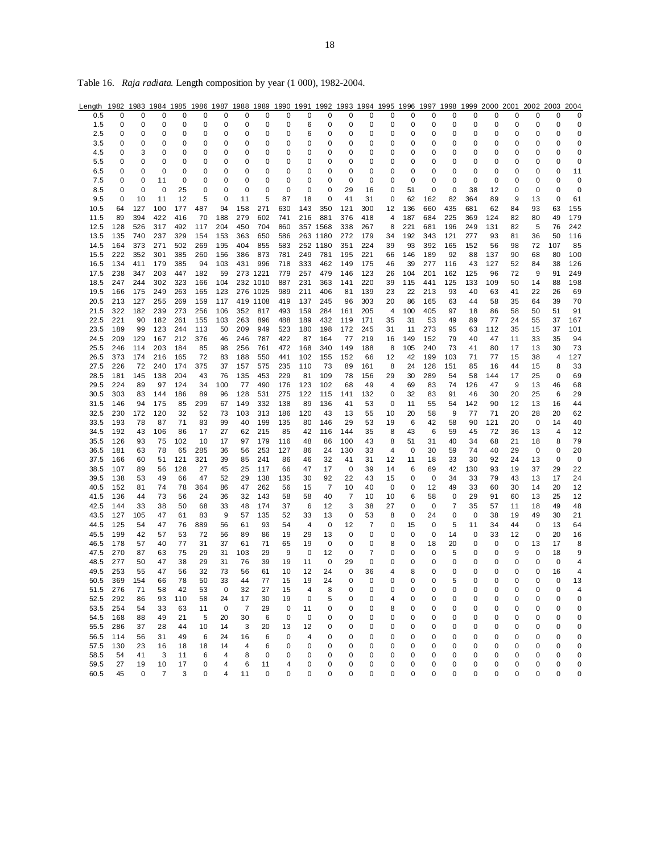| Length | 1982        |     |                |     |     |     |             |          |     |     |                |     |          |    |     |     |     |                  |     |    | 1983 1984 1985 1986 1987 1988 1989 1990 1991 1992 1993 1994 1995 1996 1997 1998 1999 2000 2001 2002 2003 |     | 2004        |
|--------|-------------|-----|----------------|-----|-----|-----|-------------|----------|-----|-----|----------------|-----|----------|----|-----|-----|-----|------------------|-----|----|----------------------------------------------------------------------------------------------------------|-----|-------------|
| 0.5    | 0           | 0   | 0              | 0   | 0   | 0   | 0           | 0        | 0   | 0   | 0              | 0   | 0        | 0  | 0   | 0   | 0   | 0                | 0   | 0  | 0                                                                                                        | 0   | 0           |
| 1.5    | 0           | 0   | 0              | 0   | 0   | 0   | 0           | 0        | 0   | 6   | 0              | 0   | 0        | 0  | 0   | 0   | 0   | 0                | 0   | 0  | 0                                                                                                        | 0   | 0           |
| 2.5    | 0           | 0   | 0              | 0   | 0   | 0   | 0           | 0        | 0   | 6   | 0              | 0   | 0        | 0  | 0   | 0   | 0   | 0                | 0   | 0  | 0                                                                                                        | 0   | 0           |
| 3.5    | 0           | 0   | 0              | 0   | 0   | 0   | 0           | 0        | 0   | 0   | 0              | 0   | 0        | 0  | 0   | 0   | 0   | 0                | 0   | 0  | 0                                                                                                        | 0   | 0           |
| 4.5    | 0           | 3   | 0              | 0   | 0   | 0   | 0           | 0        | 0   | 0   | 0              | 0   | 0        | 0  | 0   | 0   | 0   | 0                | 0   | 0  | 0                                                                                                        | 0   | 0           |
| 5.5    | 0           | 0   | 0              | 0   | 0   | 0   | 0           | 0        | 0   | 0   | 0              | 0   | 0        | 0  | 0   | 0   | 0   | 0                | 0   | 0  | 0                                                                                                        | 0   | $\mathbf 0$ |
|        |             |     |                |     |     |     |             |          |     |     |                |     |          |    |     |     |     |                  |     |    |                                                                                                          |     |             |
| 6.5    | 0           | 0   | 0              | 0   | 0   | 0   | 0           | 0        | 0   | 0   | 0              | 0   | 0        | 0  | 0   | 0   | 0   | 0<br>$\mathbf 0$ | 0   | 0  | 0                                                                                                        | 0   | 11          |
| 7.5    | 0           | 0   | 11             | 0   | 0   | 0   | 0           | 0        | 0   | 0   | 0              | 0   | 0        | 0  | 0   | 0   | 0   |                  | 0   | 0  | 0                                                                                                        | 0   | $\mathbf 0$ |
| 8.5    | $\mathbf 0$ | 0   | 0              | 25  | 0   | 0   | $\mathbf 0$ | 0        | 0   | 0   | 0              | 29  | 16       | 0  | 51  | 0   | 0   | 38               | 12  | 0  | 0                                                                                                        | 0   | 0           |
| 9.5    | $\mathbf 0$ | 10  | 11             | 12  | 5   | 0   | 11          | 5        | 87  | 18  | 0              | 41  | 31       | 0  | 62  | 162 | 82  | 364              | 89  | 9  | 13                                                                                                       | 0   | 61          |
| 10.5   | 64          | 127 | 100            | 177 | 487 | 94  | 158         | 271      | 630 | 143 | 350            | 121 | 300      | 12 | 136 | 660 | 435 | 681              | 62  | 84 | 93                                                                                                       | 63  | 155         |
| 11.5   | 89          | 394 | 422            | 416 | 70  | 188 | 279         | 602      | 741 | 216 | 881            | 376 | 418      | 4  | 187 | 684 | 225 | 369              | 124 | 82 | 80                                                                                                       | 49  | 179         |
| 12.5   | 128         | 526 | 317            | 492 | 117 | 204 | 450         | 704      | 860 |     | 357 1568       | 338 | 267      | 8  | 221 | 681 | 196 | 249              | 131 | 82 | 5                                                                                                        | 76  | 242         |
| 13.5   | 135         | 740 | 237            | 329 | 154 | 153 | 363         | 650      | 586 |     | 263 1180       | 272 | 179      | 34 | 192 | 343 | 121 | 277              | 93  | 81 | 36                                                                                                       | 50  | 116         |
| 14.5   | 164         | 373 | 271            | 502 | 269 | 195 | 404         | 855      | 583 |     | 252 1180       | 351 | 224      | 39 | 93  | 392 | 165 | 152              | 56  | 98 | 72                                                                                                       | 107 | 85          |
| 15.5   | 222         | 352 | 301            | 385 | 260 | 156 | 386         | 873      | 781 | 249 | 781            | 195 | 221      | 66 | 146 | 189 | 92  | 88               | 137 | 90 | 68                                                                                                       | 80  | 100         |
| 16.5   | 134         | 411 | 179            | 385 | 94  | 103 | 431         | 996      | 718 | 333 | 462            | 149 | 175      | 46 | 39  | 277 | 116 | 43               | 127 | 52 | 84                                                                                                       | 38  | 126         |
| 17.5   | 238         | 347 | 203            | 447 | 182 | 59  |             | 273 1221 | 779 | 257 | 479            | 146 | 123      | 26 | 104 | 201 | 162 | 125              | 96  | 72 | 9                                                                                                        | 91  | 249         |
| 18.5   | 247         | 244 | 302            | 323 | 166 | 104 |             | 232 1010 | 887 | 231 | 363            | 141 | 220      | 39 | 115 | 441 | 125 | 133              | 109 | 50 | 14                                                                                                       | 88  | 198         |
| 19.5   | 166         | 175 | 249            | 263 | 165 | 123 |             | 276 1025 | 989 | 211 | 406            | 81  | 139      | 23 | 22  | 213 | 93  | 40               | 63  | 41 | 22                                                                                                       | 26  | 69          |
| 20.5   | 213         | 127 | 255            | 269 | 159 | 117 |             | 419 1108 | 419 | 137 | 245            | 96  | 303      | 20 | 86  | 165 | 63  | 44               | 58  | 35 | 64                                                                                                       | 39  | 70          |
| 21.5   | 322         | 182 | 239            | 273 | 256 | 106 | 352         | 817      | 493 | 159 | 284            | 161 | 205      | 4  | 100 | 405 | 97  | 18               | 86  | 58 | 50                                                                                                       | 51  | 91          |
| 22.5   | 221         | 90  | 182            | 261 | 155 | 103 | 263         | 896      | 488 | 189 | 432            | 119 | 171      | 35 | 31  | 53  | 49  | 89               | 77  | 24 | 55                                                                                                       | 37  | 167         |
| 23.5   | 189         | 99  | 123            | 244 | 113 | 50  | 209         | 949      | 523 | 180 | 198            | 172 | 245      | 31 | 11  | 273 | 95  | 63               | 112 | 35 | 15                                                                                                       | 37  | 101         |
| 24.5   | 209         | 129 | 167            | 212 | 376 |     |             |          | 422 | 87  | 164            |     | 219      |    |     | 152 | 79  |                  | 47  |    |                                                                                                          |     | 94          |
|        |             |     |                |     |     | 46  | 246         | 787      |     |     |                | 77  |          | 16 | 149 |     |     | 40               |     | 11 | 33                                                                                                       | 35  |             |
| 25.5   | 246         | 114 | 203            | 184 | 85  | 98  | 256         | 761      | 472 | 168 | 340            | 149 | 188      | 8  | 105 | 240 | 73  | 41               | 80  | 17 | 13                                                                                                       | 30  | 73          |
| 26.5   | 373         | 174 | 216            | 165 | 72  | 83  | 188         | 550      | 441 | 102 | 155            | 152 | 66       | 12 | 42  | 199 | 103 | 71               | 77  | 15 | 38                                                                                                       | 4   | 127         |
| 27.5   | 226         | 72  | 240            | 174 | 375 | 37  | 157         | 575      | 235 | 110 | 73             | 89  | 161      | 8  | 24  | 128 | 151 | 85               | 16  | 44 | 15                                                                                                       | 8   | 33          |
| 28.5   | 181         | 145 | 138            | 204 | 43  | 76  | 135         | 453      | 229 | 81  | 109            | 78  | 156      | 29 | 30  | 289 | 54  | 58               | 144 | 17 | 25                                                                                                       | 0   | 69          |
| 29.5   | 224         | 89  | 97             | 124 | 34  | 100 | 77          | 490      | 176 | 123 | 102            | 68  | 49       | 4  | 69  | 83  | 74  | 126              | 47  | 9  | 13                                                                                                       | 46  | 68          |
| 30.5   | 303         | 83  | 144            | 186 | 89  | 96  | 128         | 531      | 275 | 122 | 115            | 141 | 132      | 0  | 32  | 83  | 91  | 46               | 30  | 20 | 25                                                                                                       | 6   | 29          |
| 31.5   | 146         | 94  | 175            | 85  | 299 | 67  | 149         | 332      | 138 | 89  | 136            | 41  | 53       | 0  | 11  | 55  | 54  | 142              | 90  | 12 | 13                                                                                                       | 16  | 44          |
| 32.5   | 230         | 172 | 120            | 32  | 52  | 73  | 103         | 313      | 186 | 120 | 43             | 13  | 55       | 10 | 20  | 58  | 9   | 77               | 71  | 20 | 28                                                                                                       | 20  | 62          |
| 33.5   | 193         | 78  | 87             | 71  | 83  | 99  | 40          | 199      | 135 | 80  | 146            | 29  | 53       | 19 | 6   | 42  | 58  | 90               | 121 | 20 | 0                                                                                                        | 14  | 40          |
| 34.5   | 192         | 43  | 106            | 86  | 17  | 27  | 62          | 215      | 85  | 42  | 116            | 144 | 35       | 8  | 43  | 6   | 59  | 45               | 72  | 36 | 13                                                                                                       | 4   | 12          |
| 35.5   | 126         | 93  | 75             | 102 | 10  | 17  | 97          | 179      | 116 | 48  | 86             | 100 | 43       | 8  | 51  | 31  | 40  | 34               | 68  | 21 | 18                                                                                                       | 8   | 79          |
| 36.5   | 181         | 63  | 78             | 65  | 285 | 36  | 56          | 253      | 127 | 86  | 24             | 130 | 33       | 4  | 0   | 30  | 59  | 74               | 40  | 29 | 0                                                                                                        | 0   | 20          |
| 37.5   | 166         | 60  | 51             | 121 | 321 | 39  | 85          | 241      | 86  | 46  | 32             | 41  | 31       | 12 | 11  | 18  | 33  | 30               | 92  | 24 | 13                                                                                                       | 0   | $\mathbf 0$ |
| 38.5   | 107         | 89  | 56             | 128 | 27  | 45  | 25          | 117      | 66  | 47  | 17             | 0   | 39       | 14 | 6   | 69  | 42  | 130              | 93  | 19 | 37                                                                                                       | 29  | 22          |
| 39.5   | 138         | 53  | 49             | 66  | 47  | 52  | 29          | 138      | 135 | 30  | 92             | 22  | 43       | 15 | 0   | 0   | 34  | 33               | 79  | 43 | 13                                                                                                       | 17  | 24          |
| 40.5   | 152         | 81  | 74             | 78  | 364 | 86  | 47          | 262      | 56  | 15  | $\overline{7}$ | 10  | 40       | 0  | 0   | 12  | 49  | 33               | 60  | 30 | 14                                                                                                       | 20  | 12          |
| 41.5   | 136         | 44  | 73             | 56  | 24  | 36  | 32          | 143      | 58  | 58  | 40             | 7   | 10       | 10 | 6   | 58  | 0   | 29               | 91  | 60 | 13                                                                                                       | 25  | 12          |
| 42.5   | 144         | 33  | 38             | 50  | 68  | 33  | 48          | 174      | 37  | 6   | 12             | 3   | 38       | 27 | 0   | 0   | 7   | 35               | 57  | 11 | 18                                                                                                       | 49  | 48          |
| 43.5   | 127         | 105 | 47             | 61  | 83  | 9   | 57          | 135      | 52  | 33  | 13             | 0   | 53       | 8  | 0   | 24  | 0   | 0                | 38  | 19 | 49                                                                                                       | 30  | 21          |
| 44.5   | 125         | 54  | 47             | 76  | 889 | 56  | 61          | 93       | 54  | 4   | 0              | 12  | 7        | 0  | 15  | 0   | 5   | 11               | 34  | 44 | 0                                                                                                        | 13  | 64          |
|        |             |     |                |     |     |     |             |          |     |     |                |     |          |    |     |     |     |                  |     |    |                                                                                                          |     |             |
| 45.5   | 199         | 42  | 57             | 53  | 72  | 56  | 89          | 86       | 19  | 29  | 13             | 0   | 0        | 0  | 0   | 0   | 14  | 0                | 33  | 12 | 0                                                                                                        | 20  | 16          |
| 46.5   | 178         | 57  | 40             | 77  | 31  | 37  | 61          | 71       | 65  | 19  | 0              | 0   | 0        | 8  | 0   | 18  | 20  | 0                | 0   | 0  | 13                                                                                                       | 17  | 8           |
| 47.5   | 270         | 87  | 63             | 75  | 29  | 31  | 103         | 29       | 9   | 0   | 12             | 0   | 7        | 0  | 0   | 0   | 5   | 0                | 0   | 9  | 0                                                                                                        | 18  | 9           |
| 48.5   | 277         | 50  | 47             | 38  | 29  | 31  | 76          | 39       | 19  | 11  | 0              | 29  | 0        | 0  | 0   | 0   | 0   | 0                | 0   | 0  | 0                                                                                                        | 0   | 4           |
| 49.5   | 253         | 55  | 47             | 56  | 32  | 73  | 56          | 61       | 10  | 12  | 24             | 0   | 36       | 4  | 8   | 0   | 0   | 0                | 0   | 0  | 0                                                                                                        | 16  | 4           |
| 50.5   | 369         | 154 | 66             | 78  | 50  | 33  | 44          | 77       | 15  | 19  | 24             | 0   | $\Omega$ | 0  | 0   | 0   | 5   | $\Omega$         | 0   | 0  | 0                                                                                                        | 0   | 13          |
| 51.5   | 276         | 71  | 58             | 42  | 53  | 0   | 32          | 27       | 15  | 4   | 8              | 0   | 0        | 0  | 0   | 0   | 0   | 0                | 0   | 0  | 0                                                                                                        | 0   | 4           |
| 52.5   | 292         | 86  | 93             | 110 | 58  | 24  | 17          | 30       | 19  | 0   | 5              | 0   | 0        | 4  | 0   | 0   | 0   | 0                | 0   | 0  | 0                                                                                                        | 0   | 0           |
| 53.5   | 254         | 54  | 33             | 63  | 11  | 0   | 7           | 29       | 0   | 11  | 0              | 0   | 0        | 8  | 0   | 0   | 0   | 0                | 0   | 0  | 0                                                                                                        | 0   | 0           |
| 54.5   | 168         | 88  | 49             | 21  | 5   | 20  | 30          | 6        | 0   | 0   | 0              | 0   | 0        | 0  | 0   | 0   | 0   | 0                | 0   | 0  | 0                                                                                                        | 0   | 0           |
| 55.5   | 286         | 37  | 28             | 44  | 10  | 14  | 3           | 20       | 13  | 12  | 0              | 0   | 0        | 0  | 0   | 0   | 0   | 0                | 0   | 0  | 0                                                                                                        | 0   | 0           |
| 56.5   | 114         | 56  | 31             | 49  | 6   | 24  | 16          | 6        | 0   | 4   | 0              | 0   | 0        | 0  | 0   | 0   | 0   | 0                | 0   | 0  | 0                                                                                                        | 0   | 0           |
| 57.5   | 130         | 23  | 16             | 18  | 18  | 14  | 4           | 6        | 0   | 0   | 0              | 0   | 0        | 0  | 0   | 0   | 0   | 0                | 0   | 0  | 0                                                                                                        | 0   | 0           |
| 58.5   | 54          | 41  | 3              | 11  | 6   | 4   | 8           | 0        | 0   | 0   | 0              | 0   | 0        | 0  | 0   | 0   | 0   | 0                | 0   | 0  | 0                                                                                                        | 0   | 0           |
| 59.5   | 27          | 19  | 10             | 17  | 0   | 4   | 6           | 11       | 4   | 0   | 0              | 0   | 0        | 0  | 0   | 0   | 0   | 0                | 0   | 0  | 0                                                                                                        | 0   | 0           |
| 60.5   | 45          | 0   | $\overline{7}$ | 3   | 0   | 4   | 11          | 0        | 0   | 0   | 0              | 0   | 0        | 0  | 0   | 0   | 0   | 0                | 0   | 0  | 0                                                                                                        | 0   | 0           |

Table 16. *Raja radiata*. Length composition by year (1 000), 1982-2004.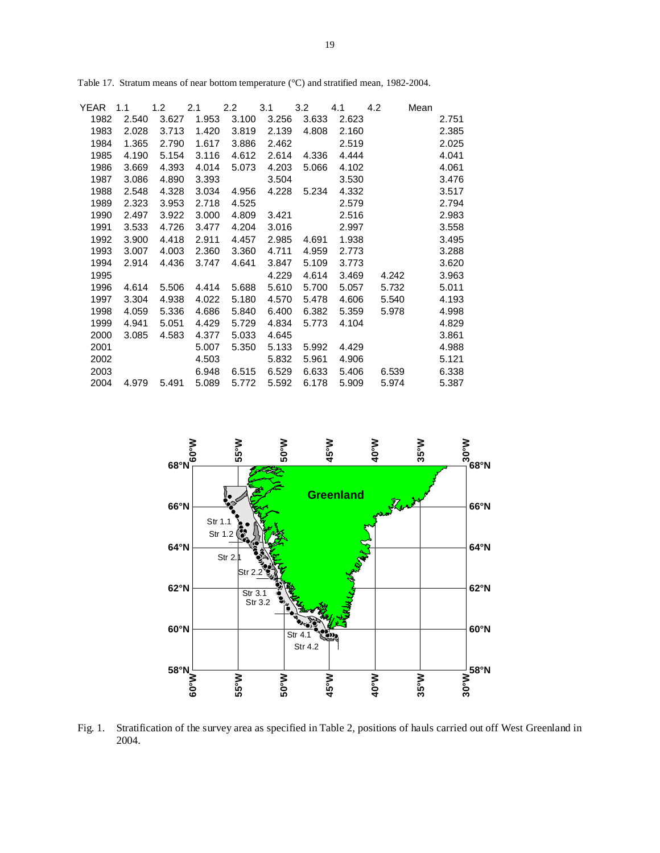| YEAR | 1.1   | 1.2   | 2.1   | $2.2\phantom{0}$ | 3.1   | 3.2   | 4.1   | 4.2   | Mean |       |
|------|-------|-------|-------|------------------|-------|-------|-------|-------|------|-------|
| 1982 | 2.540 | 3.627 | 1.953 | 3.100            | 3.256 | 3.633 | 2.623 |       |      | 2.751 |
| 1983 | 2.028 | 3.713 | 1.420 | 3.819            | 2.139 | 4.808 | 2.160 |       |      | 2.385 |
| 1984 | 1.365 | 2.790 | 1.617 | 3.886            | 2.462 |       | 2.519 |       |      | 2.025 |
| 1985 | 4.190 | 5.154 | 3.116 | 4.612            | 2.614 | 4.336 | 4.444 |       |      | 4.041 |
| 1986 | 3.669 | 4.393 | 4.014 | 5.073            | 4.203 | 5.066 | 4.102 |       |      | 4.061 |
| 1987 | 3.086 | 4.890 | 3.393 |                  | 3.504 |       | 3.530 |       |      | 3.476 |
| 1988 | 2.548 | 4.328 | 3.034 | 4.956            | 4.228 | 5.234 | 4.332 |       |      | 3.517 |
| 1989 | 2.323 | 3.953 | 2.718 | 4.525            |       |       | 2.579 |       |      | 2.794 |
| 1990 | 2.497 | 3.922 | 3.000 | 4.809            | 3.421 |       | 2.516 |       |      | 2.983 |
| 1991 | 3.533 | 4.726 | 3.477 | 4.204            | 3.016 |       | 2.997 |       |      | 3.558 |
| 1992 | 3.900 | 4.418 | 2.911 | 4.457            | 2.985 | 4.691 | 1.938 |       |      | 3.495 |
| 1993 | 3.007 | 4.003 | 2.360 | 3.360            | 4.711 | 4.959 | 2.773 |       |      | 3.288 |
| 1994 | 2.914 | 4.436 | 3.747 | 4.641            | 3.847 | 5.109 | 3.773 |       |      | 3.620 |
| 1995 |       |       |       |                  | 4.229 | 4.614 | 3.469 | 4.242 |      | 3.963 |
| 1996 | 4.614 | 5.506 | 4.414 | 5.688            | 5.610 | 5.700 | 5.057 | 5.732 |      | 5.011 |
| 1997 | 3.304 | 4.938 | 4.022 | 5.180            | 4.570 | 5.478 | 4.606 | 5.540 |      | 4.193 |
| 1998 | 4.059 | 5.336 | 4.686 | 5.840            | 6.400 | 6.382 | 5.359 | 5.978 |      | 4.998 |
| 1999 | 4.941 | 5.051 | 4.429 | 5.729            | 4.834 | 5.773 | 4.104 |       |      | 4.829 |
| 2000 | 3.085 | 4.583 | 4.377 | 5.033            | 4.645 |       |       |       |      | 3.861 |
| 2001 |       |       | 5.007 | 5.350            | 5.133 | 5.992 | 4.429 |       |      | 4.988 |
| 2002 |       |       | 4.503 |                  | 5.832 | 5.961 | 4.906 |       |      | 5.121 |
| 2003 |       |       | 6.948 | 6.515            | 6.529 | 6.633 | 5.406 | 6.539 |      | 6.338 |
| 2004 | 4.979 | 5.491 | 5.089 | 5.772            | 5.592 | 6.178 | 5.909 | 5.974 |      | 5.387 |
|      |       |       |       |                  |       |       |       |       |      |       |

Table 17. Stratum means of near bottom temperature (°C) and stratified mean, 1982-2004.



Fig. 1. Stratification of the survey area as specified in Table 2, positions of hauls carried out off West Greenland in 2004.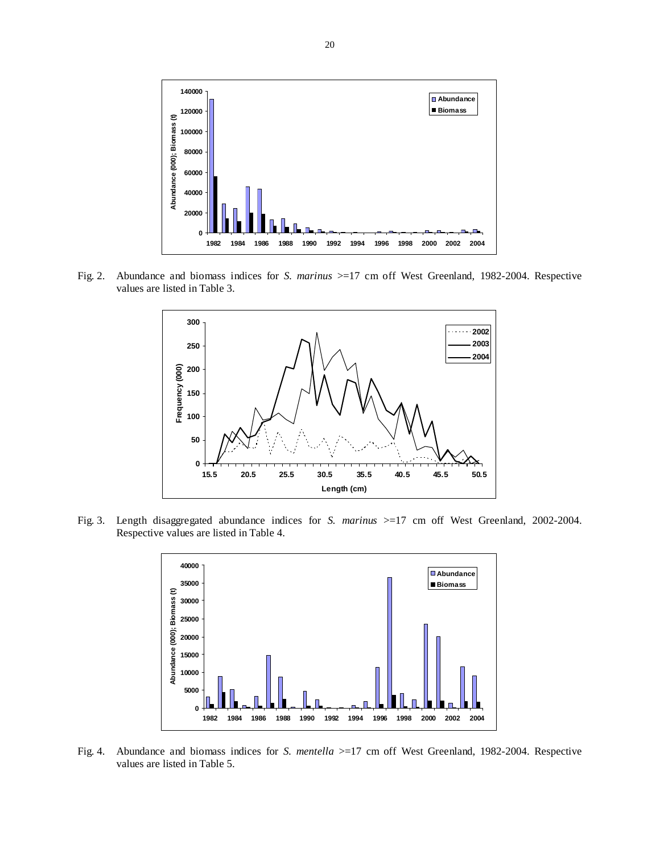

Fig. 2. Abundance and biomass indices for *S. marinus* >=17 cm off West Greenland, 1982-2004. Respective values are listed in Table 3.



Fig. 3. Length disaggregated abundance indices for *S. marinus* >=17 cm off West Greenland, 2002-2004. Respective values are listed in Table 4.



Fig. 4. Abundance and biomass indices for *S. mentella* >=17 cm off West Greenland, 1982-2004. Respective values are listed in Table 5.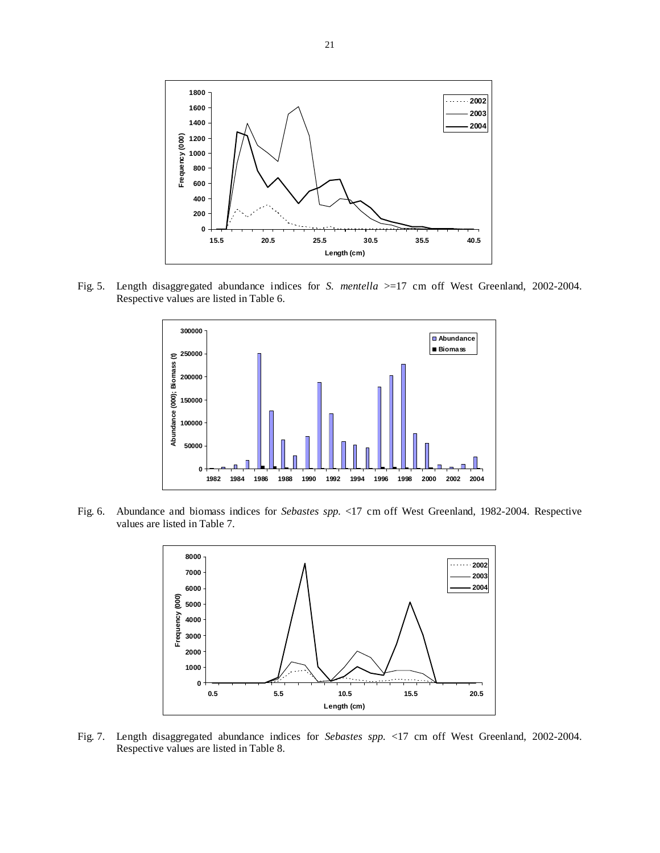

Fig. 5. Length disaggregated abundance indices for *S. mentella* >=17 cm off West Greenland, 2002-2004. Respective values are listed in Table 6.



Fig. 6. Abundance and biomass indices for *Sebastes spp.* <17 cm off West Greenland, 1982-2004. Respective values are listed in Table 7.



Fig. 7. Length disaggregated abundance indices for *Sebastes spp.* <17 cm off West Greenland, 2002-2004. Respective values are listed in Table 8.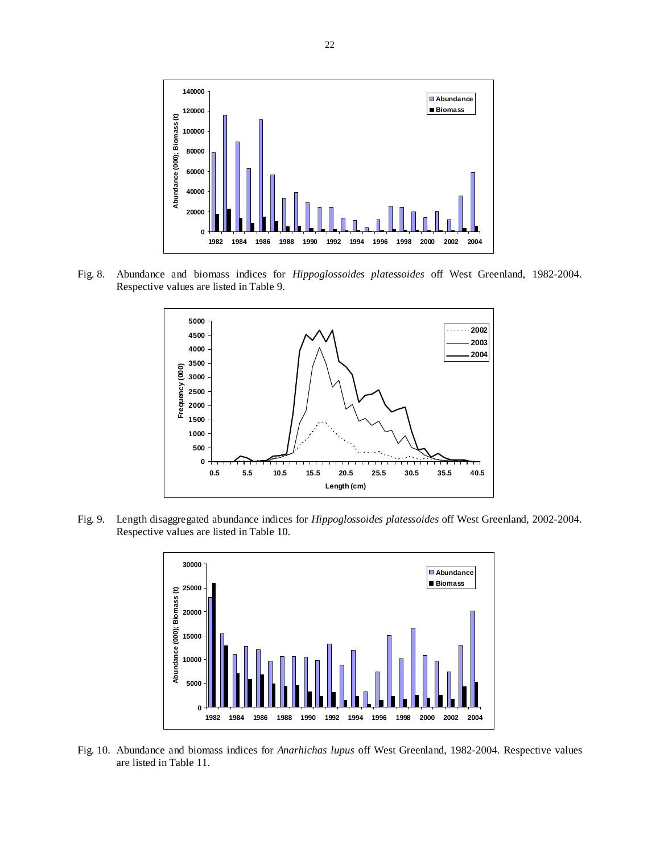

Fig. 8. Abundance and biomass indices for *Hippoglossoides platessoides* off West Greenland, 1982-2004. Respective values are listed in Table 9.



Fig. 9. Length disaggregated abundance indices for *Hippoglossoides platessoides* off West Greenland, 2002-2004. Respective values are listed in Table 10.



Fig. 10. Abundance and biomass indices for *Anarhichas lupus* off West Greenland, 1982-2004. Respective values are listed in Table 11.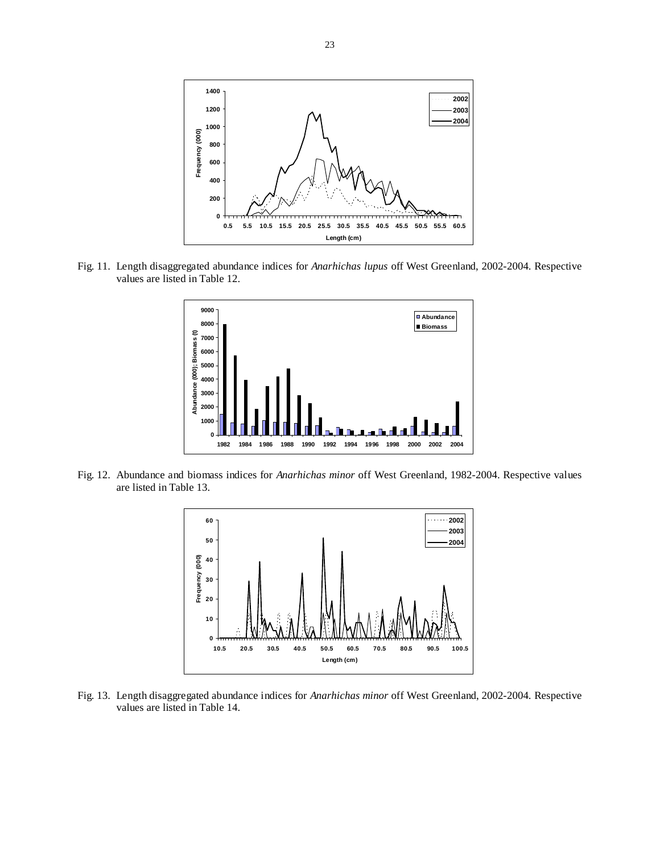

Fig. 11. Length disaggregated abundance indices for *Anarhichas lupus* off West Greenland, 2002-2004. Respective values are listed in Table 12.



Fig. 12. Abundance and biomass indices for *Anarhichas minor* off West Greenland, 1982-2004. Respective values are listed in Table 13.



Fig. 13. Length disaggregated abundance indices for *Anarhichas minor* off West Greenland, 2002-2004. Respective values are listed in Table 14.